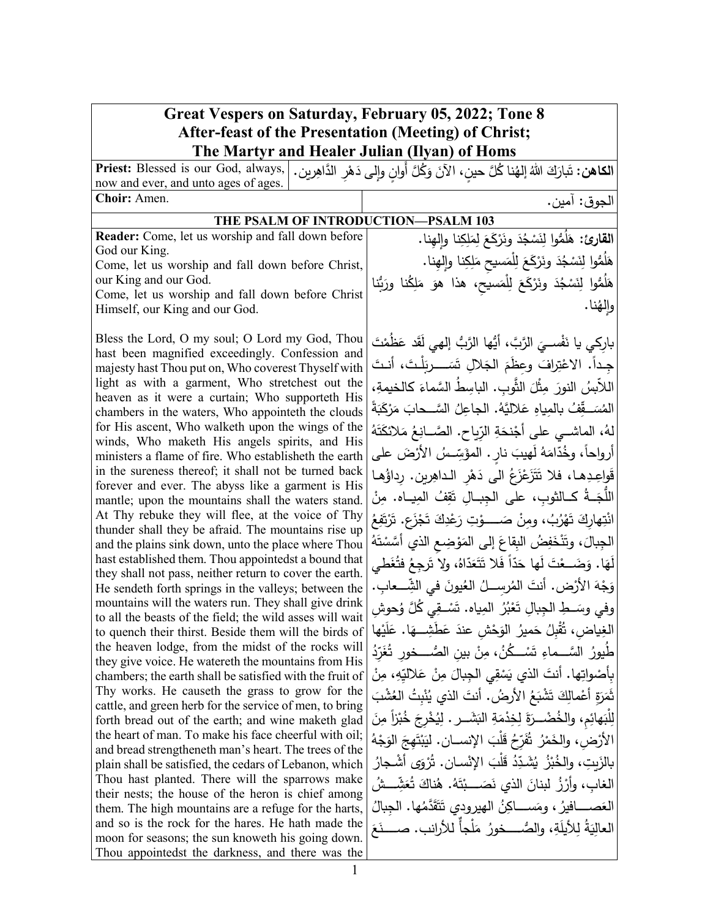| Great Vespers on Saturday, February 05, 2022; Tone 8                                                                                  |                                                                            |  |
|---------------------------------------------------------------------------------------------------------------------------------------|----------------------------------------------------------------------------|--|
| <b>After-feast of the Presentation (Meeting) of Christ;</b>                                                                           |                                                                            |  |
| The Martyr and Healer Julian (Ilyan) of Homs                                                                                          |                                                                            |  |
| Priest: Blessed is our God, always,<br>ا <b>لكاهن:</b> تَبارَكَ اللهُ إلهُنا كُلَّ حين، الآنَ وَكُلَّ أوان وإلى دَهْرِ الدَّاهِرِينِ. |                                                                            |  |
| now and ever, and unto ages of ages.                                                                                                  |                                                                            |  |
| Choir: Amen.                                                                                                                          | الجوق: آمين.                                                               |  |
| THE PSALM OF INTRODUCTION-PSALM 103                                                                                                   |                                                                            |  |
| Reader: Come, let us worship and fall down before                                                                                     | ا <b>لقارئ:</b> هَلُمُّوا لِنَسْجُدَ ونَرْكَعَ لِمَلِكِنا وإِلمِينا.       |  |
| God our King.                                                                                                                         | هَلُمُّوا لِنَسْجُدَ ونَرْكَعَ لِلْمَسيحِ مَلِكِنا وإِلهِنا.               |  |
| Come, let us worship and fall down before Christ,                                                                                     |                                                                            |  |
| our King and our God.<br>Come, let us worship and fall down before Christ                                                             | هَلُمُّوا لِنَسْجُدَ ونَرْكَعَ لِلْمَسيحِ، هذا هوَ مَلِكُنا ورَبُّنا       |  |
| Himself, our King and our God.                                                                                                        | وإلهُنا.                                                                   |  |
|                                                                                                                                       |                                                                            |  |
| Bless the Lord, O my soul; O Lord my God, Thou                                                                                        | باركي يا نَفْســِيَ الرَّبَّ، أَيُّها الرَّبُّ إلهي لَقَد عَظُمْتَ         |  |
| hast been magnified exceedingly. Confession and                                                                                       | جـداً. الاعْتِرافَ وعظَمَ الجَلالِ تَسَــــربَلْتَ، أنـتَ                  |  |
| majesty hast Thou put on, Who coverest Thyself with                                                                                   |                                                                            |  |
| light as with a garment, Who stretchest out the<br>heaven as it were a curtain; Who supporteth His                                    | اللاَّبِسُ النورَ مِثْلَ الثَّوبِ. الباسِطُ السَّماءَ كالخيمةِ،            |  |
| chambers in the waters, Who appointeth the clouds                                                                                     | المُسَــقِّفُ بالمِياهِ عَلاليَّهُ. الجاعِلُ السَّــحابَ مَرْكَبَةً        |  |
| for His ascent, Who walketh upon the wings of the                                                                                     | لهُ، الماشــي على أَجْنحَةِ الرّياحِ. الصَّــانِعُ مَلائكَتَهُ             |  |
| winds, Who maketh His angels spirits, and His<br>ministers a flame of fire. Who establisheth the earth                                | أرواحاً، وخُدّامَهُ لَهيبَ نارٍ . المؤَسِّسُ الأَرْضَ على                  |  |
| in the sureness thereof; it shall not be turned back                                                                                  | قَواعِدِها، فلا تَتَزَعْزَعُ الى دَهْرِ الداهِرِينِ. رداؤُها               |  |
| forever and ever. The abyss like a garment is His                                                                                     |                                                                            |  |
| mantle; upon the mountains shall the waters stand.                                                                                    | اللَّجَــةُ كــالثوب، على الجِبــالِ تَقِفُ المِيــاه. مِنْ                |  |
| At Thy rebuke they will flee, at the voice of Thy                                                                                     | انْتِهاركَ تَهْرُبُ، ومِنْ صَــــــوْتِ رَعْدِكَ تَجْزَعِ. تَرْتَفِعُ      |  |
| thunder shall they be afraid. The mountains rise up<br>and the plains sink down, unto the place where Thou                            | الجِبالَ، وتَنْخَفِضُ البِقاعَ إلى المَوْضِعِ الذي أَسَّسْتَهُ             |  |
| hast established them. Thou appointedst a bound that                                                                                  | لَهَا. وَضَــعْتَ لَها حَدّاً فَلا تَتَعَدّاهُ، ولا تَرجِعُ فتُغَطى        |  |
| they shall not pass, neither return to cover the earth.<br>He sendeth forth springs in the valleys; between the                       | وَجْهَ الأَرْضِ. أَنتَ المُرسلُ العُيونَ في الشِّــعابِ.                   |  |
| mountains will the waters run. They shall give drink                                                                                  | وفي وسَــطِ الجِبالِ تَعْبُرُ  المِياه. تَسْــقِي كُلَّ وُحوش              |  |
| to all the beasts of the field; the wild asses will wait<br>to quench their thirst. Beside them will the birds of                     | الغِياض، تُقْبِلُ حَميرُ الوَحْشِ عندَ عَطَشِـــهَا. عَلَيْها              |  |
| the heaven lodge, from the midst of the rocks will                                                                                    | طُيورُ السَّـــماءِ تَسْـــكُنُ، مِنْ بينِ الصَّـــخورِ تُغَرِّدُ          |  |
| they give voice. He watereth the mountains from His<br>chambers; the earth shall be satisfied with the fruit of                       | بِأَصْواتِها. أَنتَ الذي يَسْقِي الْجِبالَ مِنْ عَلاليِّهِ، مِنْ           |  |
| Thy works. He causeth the grass to grow for the                                                                                       | نَّمَرَةِ أَعْمالِكَ تَشْبَعُ الأَرضُ. أَنتَ الذي يُنْبِتُ العُشْبَ        |  |
| cattle, and green herb for the service of men, to bring                                                                               | لِلْبَهائِم، والخُضْــرَةَ لِخِدْمَةِ البَشَــرِ . لِيُخْرِجَ خُبْزاً مِنَ |  |
| forth bread out of the earth; and wine maketh glad<br>the heart of man. To make his face cheerful with oil;                           |                                                                            |  |
| and bread strengtheneth man's heart. The trees of the                                                                                 | الأرْض، والخَمْرُ تُفَرِّحُ قَلْبَ الإنســانِ. ليَبْتَهِجَ الوَجْهُ        |  |
| plain shall be satisfied, the cedars of Lebanon, which                                                                                | بِالزَبِتِ، والخُبْزُ ۖ يُشَدِّدُ قَلْبَ الإِنْسانِ. تُرْوَى أَشْجارُ_     |  |
| Thou hast planted. There will the sparrows make<br>their nests; the house of the heron is chief among                                 | الغاب، وأَرْزُ لَبِنانَ الذي نَصَـــبْتَهُ. هُناكَ تُعَشِّـــشُ            |  |
| them. The high mountains are a refuge for the harts,                                                                                  | العَصـــــافيرُ ، ومَســــاكِنُ الـهيرودي تَتَقَدَّمُها. الـجبالُ          |  |
| and so is the rock for the hares. He hath made the                                                                                    | العاليَةُ لِلأَيلَةِ، والصُّــــخورُ مَلْجاً للأرانب. صـــــنَعَ           |  |
| moon for seasons; the sun knoweth his going down.                                                                                     |                                                                            |  |
| Thou appointedst the darkness, and there was the                                                                                      |                                                                            |  |

Г

 $\overline{\phantom{a}}$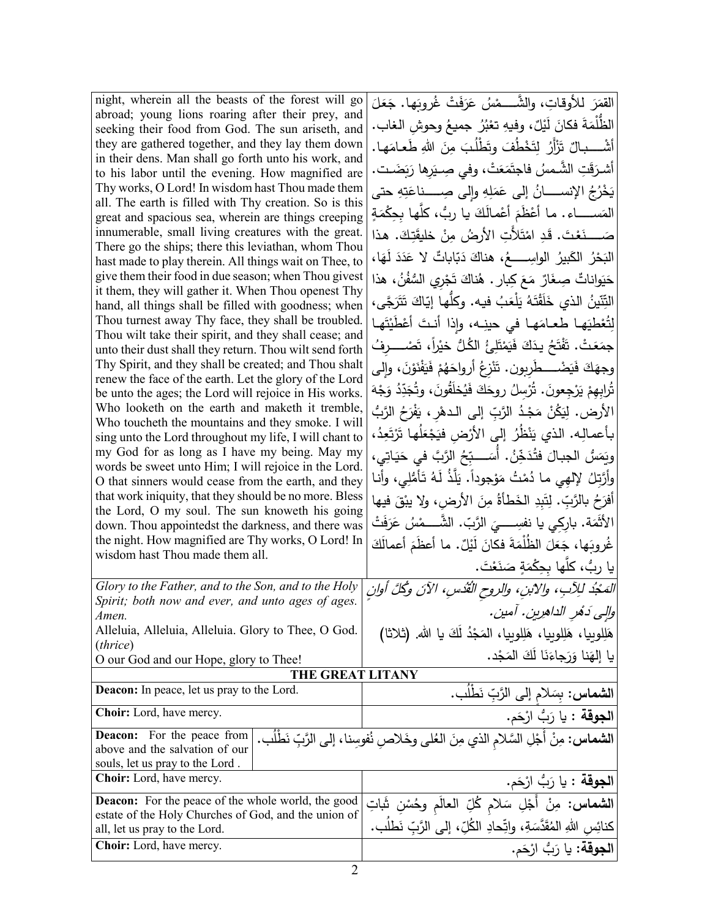| night, wherein all the beasts of the forest will go                                                               | القَمَرَ للأوقاتِ، والشَّــــمْسُ عَرَفَتْ غُروبَها. جَعَلَ                            |
|-------------------------------------------------------------------------------------------------------------------|----------------------------------------------------------------------------------------|
| abroad; young lions roaring after their prey, and<br>seeking their food from God. The sun ariseth, and            | الظُّلْمَةَ فكانَ لَيْلٌ، وفيهِ تعْبُرُ  جميعُ وحوشِ الـغاب.                           |
| they are gathered together, and they lay them down                                                                | أشْــــــبالٌ تَزْأَرُ لِتَخْطُفَ وتَطْلُبَ مِنَ اللهِ طَعـامَهـا.                     |
| in their dens. Man shall go forth unto his work, and                                                              |                                                                                        |
| to his labor until the evening. How magnified are                                                                 | أشرَقَتِ الشَّمسُ فاجتَمَعَتْ، وفي صِـيَرِها رَبَضَـت.                                 |
| Thy works, O Lord! In wisdom hast Thou made them                                                                  | يَخْرُجُ الإنســــانُ إلى عَمَلِهِ وإلى صِــــناعَتِهِ حتى                             |
| all. The earth is filled with Thy creation. So is this<br>great and spacious sea, wherein are things creeping     | المَســـــــاء . مـا أَعْظَمَ أَعْمـالَكَ يـا ربُّ، كلَّهـا بـحِكْمَةٍ                 |
| innumerable, small living creatures with the great.                                                               | صَــــــنَعْتَ. قَدِ امْتَلأَتِ الأَرضُ مِنْ خَليقَتِكَ. هذا                           |
| There go the ships; there this leviathan, whom Thou                                                               |                                                                                        |
| hast made to play therein. All things wait on Thee, to                                                            | البَحْرُ الكَبِيرُ الواسِـــــعُ، هناكَ دَبّاباتٌ لا عَدَدَ لَهَا،                     |
| give them their food in due season; when Thou givest                                                              | حَيَواناتٌ صِغَارٌ مَعَ كِبارٍ . هُناكَ تَجْرِي السُّفُنُ، هذا                         |
| it them, they will gather it. When Thou openest Thy<br>hand, all things shall be filled with goodness; when       | التِّنّينُ الذي خَلَقْتَهُ يَلْعَبُ فيه. وكلّها إيّاكَ تَتَرَجَّى،                     |
| Thou turnest away Thy face, they shall be troubled.                                                               | لِتُعْطِيَهِا طعامَها في حينِه، وإذا أنتَ أَعْطَيْتَها                                 |
| Thou wilt take their spirit, and they shall cease; and                                                            |                                                                                        |
| unto their dust shall they return. Thou wilt send forth                                                           | جمَعَتْ. تَفْتَحُ يدَكَ فَيَمْتَلِئُ الكُلُّ خيْراً، تَصْـــــرفُ                      |
| Thy Spirit, and they shall be created; and Thou shalt<br>renew the face of the earth. Let the glory of the Lord   | وجهَكَ فَيَضْــــطَرِبون. تَنْزِعُ أرواحَهُمْ فَيَفْنَوْنَ، وإلى                       |
| be unto the ages; the Lord will rejoice in His works.                                                             | تُرابِهِمْ يَرْجِعونَ. تُرْسِلُ روحَكَ فَيُخلَقُونَ، وتُجَدِّدُ وَجْهَ                 |
| Who looketh on the earth and maketh it tremble,                                                                   | الأرض. لِيَكُنْ مَجْدُ الرَّبِّ إلى الـدهْرِ ، يَفْرَحُ الرَّبُّ                       |
| Who toucheth the mountains and they smoke. I will                                                                 |                                                                                        |
| sing unto the Lord throughout my life, I will chant to                                                            | بأعمالِه. الذي يَنْظُرُ إلى الأرْضِ فيَجْعَلَها تَرْتَعِدُ،                            |
| my God for as long as I have my being. May my<br>words be sweet unto Him; I will rejoice in the Lord.             | وِيَمَسُ الْجِبالَ فِتُدَخِّنُ. أَسَـــبِّحُ الرَّبَّ في حَيَاتِي،                     |
| O that sinners would cease from the earth, and they                                                               | وأَرَّتِلُ لِإلهِي ما دُمْتُ مَوْجوداً. يَلَّذُ لَهُ تَأْمُلِي، وأنا                   |
| that work iniquity, that they should be no more. Bless                                                            | أَفْرَحُ بِالرَّبِّ. لِتَبِدِ الْخَطَأَةُ مِنَ الأَرضِ، ولا يبْقَ فيها                 |
| the Lord, O my soul. The sun knoweth his going                                                                    |                                                                                        |
| down. Thou appointedst the darkness, and there was                                                                | الأَثْمَة. بارِكِي يا نفسِــــيَ الرَّبّ. الشَّـــمْسُ عَرَفَتْ                        |
| the night. How magnified are Thy works, O Lord! In<br>wisdom hast Thou made them all.                             | غُروبَها، جَعَلَ الظُلْمَةَ فكانَ لَيْلٌ. ما أعظَمَ أعمالَكَ                           |
|                                                                                                                   | يا ربُّ، كلِّها بحِكْمَةٍ صَنَعْتَ.                                                    |
| Glory to the Father, and to the Son, and to the Holy                                                              | المَجْدُ للِآبِ، والآبنِ، والروحِ القُدُسِ، الآنَ وكُلَّ أُوانِ                        |
| Spirit; both now and ever, and unto ages of ages.<br>Amen.                                                        | والِي دَهْرِ الداهرِينِ. آمينِ.                                                        |
| Alleluia, Alleluia, Alleluia. Glory to Thee, O God.                                                               | هَلِلوبِيا، هَلِلوبِيا، هَلِلوبِيا، المَجْدُ لَكَ يا الله. (ثلاثا)                     |
| ( <i>thrice</i> )                                                                                                 |                                                                                        |
| O our God and our Hope, glory to Thee!                                                                            | يا إلهَنا وَرَجاءَنَا لَكَ الْمَجْدِ.                                                  |
| THE GREAT LITANY                                                                                                  |                                                                                        |
| <b>Deacon:</b> In peace, let us pray to the Lord.                                                                 | ا <b>لشماس:</b> بِسَلام إلى الرَّبِّ نَطْلُب.                                          |
| Choir: Lord, have mercy.                                                                                          | ا <b>لجوقة</b> : يا رَبُّ ارْحَم.                                                      |
| <b>Deacon:</b> For the peace from                                                                                 | الشعاس: مِنْ أَجْلِ السَّلام الذي مِنَ العُلى وخَلاصِ نُفوسِناً، إلى الرَّبِّ نَطْلُب. |
| above and the salvation of our                                                                                    |                                                                                        |
| souls, let us pray to the Lord.<br>Choir: Lord, have mercy.                                                       |                                                                                        |
|                                                                                                                   | ا <b>لجوقة</b> : يا رَبُّ ارْحَم.                                                      |
| <b>Deacon:</b> For the peace of the whole world, the good<br>estate of the Holy Churches of God, and the union of | ا <b>لشماس</b> : مِنْ أَجْلِ سَلام كُلِّ العالَم وحُسْنِ شَاتِ                         |
| all, let us pray to the Lord.                                                                                     | كنائِسِ اللهِ المُقَدَّسَةِ، واتِّحادِ الكُلِّ، إلى الرَّبِّ نَطلُب.                   |
| Choir: Lord, have mercy.                                                                                          | ا <b>لجوقة:</b> يا رَبُّ ارْحَم.                                                       |
|                                                                                                                   |                                                                                        |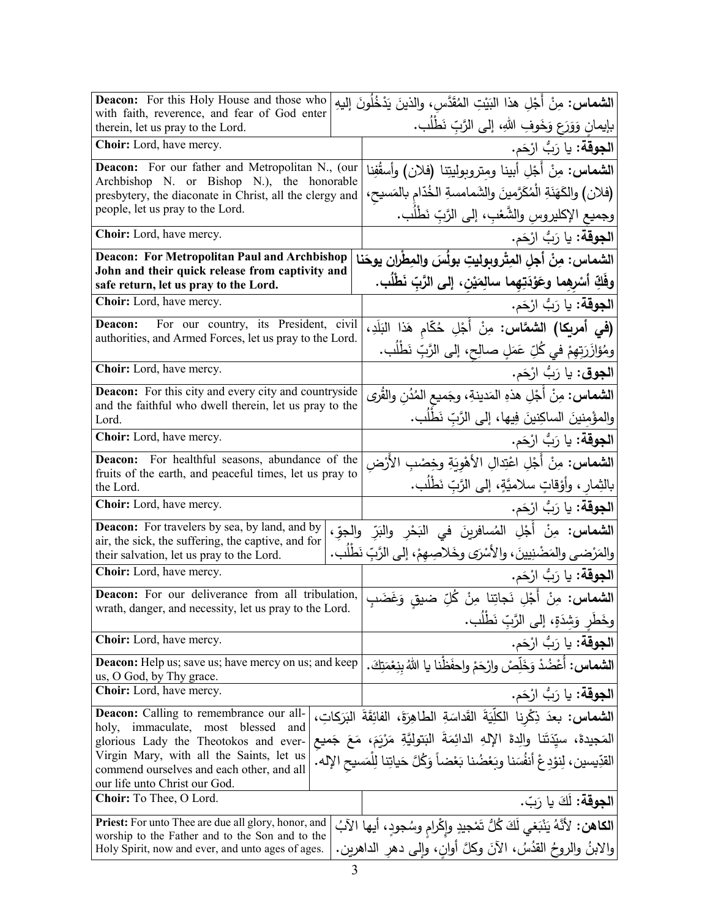| <b>Deacon:</b> For this Holy House and those who<br>with faith, reverence, and fear of God enter      | <b>الشماس:</b> مِنْ أَجْلِ هذا البَيْتِ المُقَدَّس، والذينَ يَدْخُلُونَ إليهِ          |
|-------------------------------------------------------------------------------------------------------|----------------------------------------------------------------------------------------|
| therein, let us pray to the Lord.                                                                     | بإيمانِ وَوَرَعٍ وَخَوفِ اللهِ، إلى الرَّبِّ نَطْلُبٍ.                                 |
| Choir: Lord, have mercy.                                                                              | ا <b>لجوقة:</b> يا رَبُّ ارْحَم.                                                       |
| Deacon: For our father and Metropolitan N., (our                                                      | ال <b>شماس:</b> مِنْ أَجْلِ أبينا ومتروبوليتِنا (فلان) وأسقُفِنا                       |
| Archbishop N. or Bishop N.), the honorable<br>presbytery, the diaconate in Christ, all the clergy and | (فلان) والكَهَنَةِ الْمُكَرَّمِينَ والشَمامسةِ الخُدّامِ بالمَسيحِ،                    |
| people, let us pray to the Lord.                                                                      | وجميع الإكليروسِ والشَّعْبِ، إلى الرَّبِّ نَطْلَب.                                     |
| Choir: Lord, have mercy.                                                                              | ا <b>لجوقة:</b> يا رَبُّ ارْحَم.                                                       |
| <b>Deacon: For Metropolitan Paul and Archbishop</b>                                                   | الشماس: مِنْ أجلِ المِتْروبوليتِ بولُسَ والمِطْرانِ يوحَنا                             |
| John and their quick release from captivity and<br>safe return, let us pray to the Lord.              | وفَكِّ أَسْرِهِما وعَوْدَتِهِما سالِمَيْنِ، إلى الرَّبِّ نَطْلُبٍ.                     |
| Choir: Lord, have mercy.                                                                              | ا <b>لجوقة:</b> يا رَبُّ ارْحَم.                                                       |
| For our country, its President, civil<br>Deacon:                                                      | (في أمريكا) الشمَّاس: مِنْ أَجْلِ حُكّام هَذا البَلَدِ،                                |
| authorities, and Armed Forces, let us pray to the Lord.                                               | ومُؤازَرَتِهِمْ في كُلِّ عَمَلٍ صالِحٍ، إلى الرَّبِّ نَطْلُب.                          |
| Choir: Lord, have mercy.                                                                              | ا <b>لجوق</b> : يا رَبُّ ارْحَم.                                                       |
| <b>Deacon:</b> For this city and every city and countryside                                           | ا <b>لشماس :</b> مِنْ أَجْلِ هذهِ المَدينةِ، وجَميع المُدُن والقُرى                    |
| and the faithful who dwell therein, let us pray to the<br>Lord.                                       | والمؤْمنينَ الساكِنينَ فِيها، إلى الرَّبِّ نَطْلُب.                                    |
| Choir: Lord, have mercy.                                                                              | ا <b>لجوقة:</b> يا رَبُّ ارْحَم.                                                       |
| For healthful seasons, abundance of the<br>Deacon:                                                    | ا <b>لشماس:</b> مِنْ أَجْلِ اعْتِدالِ الأَهْوِيَةِ وخِصْبِ الأَرْض                     |
| fruits of the earth, and peaceful times, let us pray to<br>the Lord.                                  | بالثِمار ، وأَوْقاتٍ سلاميَّةٍ، إلى الرَّبِّ نَطْلُب.                                  |
| Choir: Lord, have mercy.                                                                              | ا <b>لجوقة:</b> يا رَبُّ ارْحَم.                                                       |
| Deacon: For travelers by sea, by land, and by<br>air, the sick, the suffering, the captive, and for   | ا <b>لشماس:</b> مِنْ أَجْلِ المُسافرينَ في النَحْرِ والنَرِّ والجوِّ،                  |
| their salvation, let us pray to the Lord.                                                             | والمَرْضى والمَضْنِيينَ، والأَسْرَى وخَلاصِهِمْ، إلى الرَّبِّ نَطْلَب.                 |
| Choir: Lord, have mercy.                                                                              | ا <b>لجوقة:</b> يا رَبُّ ارْحَم.                                                       |
| Deacon: For our deliverance from all tribulation,                                                     | ا <b>لشماس:</b> مِنْ أَجْلِ نَجاتِنا مِنْ كُلِّ ضيق وَغَضَبِ                           |
| wrath, danger, and necessity, let us pray to the Lord.                                                | وخَطْرِ وَشِدَةٍ، إِلَى الرَّبِّ نَطْلَبٍ.                                             |
| Choir: Lord, have mercy.                                                                              | ا <b>لجوقة:</b> يا رَبُّ ارْحَم.                                                       |
| <b>Deacon:</b> Help us; save us; have mercy on us; and keep                                           | ا <b>لشماس:</b> أعْضُدْ وَخَلِّصْ وارْحَمْ واحفَظْنا يا اللهُ بنِعْمَتِكَ.             |
| us, O God, by Thy grace.<br>Choir: Lord, have mercy.                                                  | <b>الجوقة:</b> يا رَبُّ ارْحَم.                                                        |
| <b>Deacon:</b> Calling to remembrance our all-                                                        | ال <b>شماس:</b> بعدَ ذِكْرِنا الكلِّيَةَ القَداسَةِ الطاهِرَةَ، الفائِقَةَ البَرَكاتِ، |
| holy, immaculate, most blessed<br>and                                                                 | المَجيدةَ، سيّدَتَنا والِدةَ الإِلهِ الدائِمَةَ البَتوليَّةِ مَرْيَمَ، مَعَ جَميع      |
| glorious Lady the Theotokos and ever-<br>Virgin Mary, with all the Saints, let us                     | القدِّيسين، لِنوْدِعْ أَنفُسَنا وبَعْضُنا بَعْضاً وَكُلَّ حَياتِنا لِلْمَسيحِ الإِله.  |
| commend ourselves and each other, and all                                                             |                                                                                        |
| our life unto Christ our God.<br>Choir: To Thee, O Lord.                                              | ا <b>لجوقة:</b> لَكَ يا رَبّ.                                                          |
| Priest: For unto Thee are due all glory, honor, and                                                   |                                                                                        |
| worship to the Father and to the Son and to the                                                       | ا <b>لكاهن:</b> لأنَّهُ يَنْبَغي لَكَ كُلُّ تَمْجِيدِ وإِكْرامِ وسُجودٍ، أيها الآبُ    |
| Holy Spirit, now and ever, and unto ages of ages.                                                     | والابنُ والروحُ القدُسُ، الآنَ وكلَّ أوان، وإلى دهر الداهرين.                          |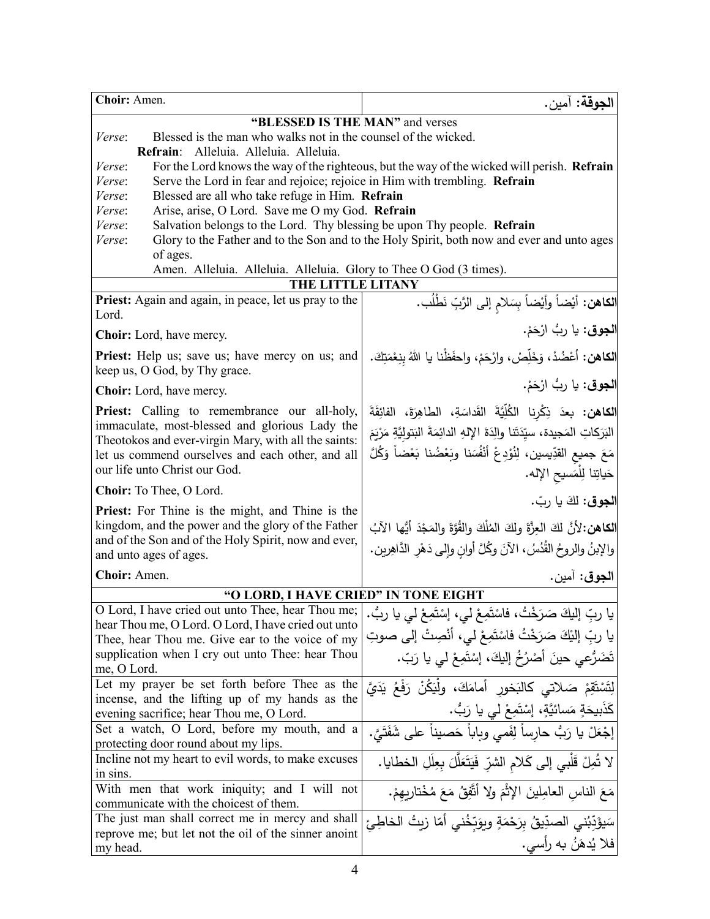| Choir: Amen.                                                                                                                                   | الجوقة: آمين.                                                                               |  |
|------------------------------------------------------------------------------------------------------------------------------------------------|---------------------------------------------------------------------------------------------|--|
| "BLESSED IS THE MAN" and verses                                                                                                                |                                                                                             |  |
| Blessed is the man who walks not in the counsel of the wicked.<br>Verse:                                                                       |                                                                                             |  |
| Refrain: Alleluia. Alleluia. Alleluia.                                                                                                         |                                                                                             |  |
| <i>Verse:</i>                                                                                                                                  | For the Lord knows the way of the righteous, but the way of the wicked will perish. Refrain |  |
| Serve the Lord in fear and rejoice; rejoice in Him with trembling. Refrain<br>Verse:                                                           |                                                                                             |  |
| Blessed are all who take refuge in Him. Refrain<br>Verse:                                                                                      |                                                                                             |  |
| Arise, arise, O Lord. Save me O my God. Refrain<br>Verse:<br>Salvation belongs to the Lord. Thy blessing be upon Thy people. Refrain<br>Verse: |                                                                                             |  |
| Verse:                                                                                                                                         | Glory to the Father and to the Son and to the Holy Spirit, both now and ever and unto ages  |  |
| of ages.                                                                                                                                       |                                                                                             |  |
| Amen. Alleluia. Alleluia. Alleluia. Glory to Thee O God (3 times).                                                                             |                                                                                             |  |
| THE LITTLE LITANY                                                                                                                              |                                                                                             |  |
| <b>Priest:</b> Again and again, in peace, let us pray to the                                                                                   | ا <b>لكاهن:</b> أيْضاً وأيْضاً بِسَلام إلى الرَّبِّ نَطْلُب.                                |  |
| Lord.                                                                                                                                          |                                                                                             |  |
| <b>Choir:</b> Lord, have mercy.                                                                                                                | ا <b>لجوق</b> : يا رِبُّ ارْحَمْ.                                                           |  |
| <b>Priest:</b> Help us; save us; have mercy on us; and                                                                                         | ا <b>لكاهن:</b> أعْضُدْ، وَخَلِّصْ، وارْحَمْ، واحفَظْنا يا اللهُ بِنِعْمَتِكَ.              |  |
| keep us, O God, by Thy grace.                                                                                                                  |                                                                                             |  |
| <b>Choir:</b> Lord, have mercy.                                                                                                                | ا <b>لجوق</b> : يا رِبُّ ارْحَمْ.                                                           |  |
| Priest: Calling to remembrance our all-holy,                                                                                                   | الكاهن: بعدَ ذِكْرِنا الكُلِّيَّةَ القَداسَةِ، الطاهِرَةَ، الفائِقَةَ                       |  |
| immaculate, most-blessed and glorious Lady the                                                                                                 | البَرَكاتِ المَجيدة، سيِّدَتَنا والِدَةَ الإِلهِ الدائِمَةَ البَتولِيَّةِ مَرْيَمَ          |  |
| Theotokos and ever-virgin Mary, with all the saints:<br>let us commend ourselves and each other, and all                                       | مَعَ جميع القدِّيسين، لِنُوْدِعْ أَنْفُسَنا وبَعْضُنا بَعْضاً وَكُلَّ                       |  |
| our life unto Christ our God.                                                                                                                  |                                                                                             |  |
| Choir: To Thee, O Lord.                                                                                                                        | حَياتِنا لِلْمَسيح الإِله.                                                                  |  |
| Priest: For Thine is the might, and Thine is the                                                                                               | الجوق: لكَ يا ربّ.                                                                          |  |
| kingdom, and the power and the glory of the Father                                                                                             |                                                                                             |  |
| and of the Son and of the Holy Spirit, now and ever,                                                                                           | الكاهن:لأنَّ لكَ العِزَّةَ ولِكَ المُلْكَ والقُوَّةَ والمَجْدَ أَيُّها الآبُ                |  |
| and unto ages of ages.                                                                                                                         | والإبنُ والروحُ القُدُسُ، الآنَ وكُلَّ أوانِ وإلى دَهْرِ الدَّاهِرِينِ.                     |  |
| Choir: Amen.                                                                                                                                   | الجوق: آمين.                                                                                |  |
| "O LORD, I HAVE CRIED" IN TONE EIGHT                                                                                                           |                                                                                             |  |
| O Lord, I have cried out unto Thee, hear Thou me;                                                                                              | يا ربِّ إليكَ صَرَخْتُ، فَاسْتَمِعْ لي، إِسْتَمِعْ لي يا ربُّ.                              |  |
| hear Thou me, O Lord. O Lord, I have cried out unto                                                                                            | يا ربِّ إليْكَ صَرَخْتُ فاسْتَمِعْ لي، أَنْصِتْ إلي صوتِ                                    |  |
| Thee, hear Thou me. Give ear to the voice of my                                                                                                |                                                                                             |  |
| supplication when I cry out unto Thee: hear Thou<br>me, O Lord.                                                                                | تَضَرُّعِي حينَ أَصْرُخُ إِلَيكَ، إِسْتَمِعْ لِي يا رَبِّ.                                  |  |
| Let my prayer be set forth before Thee as the                                                                                                  | لِتَسْتَقِمْ صَلاتي كالبَخور أمامَكَ، ولْيَكُنْ رَفْعُ يَدَيَّ                              |  |
| incense, and the lifting up of my hands as the                                                                                                 |                                                                                             |  |
| evening sacrifice; hear Thou me, O Lord.                                                                                                       | كَذَبِيحَةٍ مَسائيَّةٍ، إِسْتَمِعْ لي يا رَبُّ.                                             |  |
| Set a watch, O Lord, before my mouth, and a                                                                                                    | إجْعَلْ يا رَبُّ حارساً لِفَمي وبِاباً حَصيناً على شَفَتَيَّ.                               |  |
| protecting door round about my lips.                                                                                                           |                                                                                             |  |
| Incline not my heart to evil words, to make excuses<br>in sins.                                                                                | لا تُمِلْ قَلْبِي إِلَى كَلامِ الشّرِّ فَيَتَعَلَّلَ بِعِلَلِ الخطايا.                      |  |
| With men that work iniquity; and I will not                                                                                                    |                                                                                             |  |
| communicate with the choicest of them.                                                                                                         | مَعَ الناسِ العامِلينَ الإثْمَ ولا أتَّفِقُ مَعَ مُخْتارِيهِمْ.                             |  |
| The just man shall correct me in mercy and shall                                                                                               | سَيؤَدِّبُنى الصدِّيقُ بِرَحْمَةٍ وبِوَبِّخُنى أمّا زيتُ الخاطِئ                            |  |
| reprove me; but let not the oil of the sinner anoint                                                                                           |                                                                                             |  |
| my head.                                                                                                                                       | فلا يُدهَنُ به رأِسي.                                                                       |  |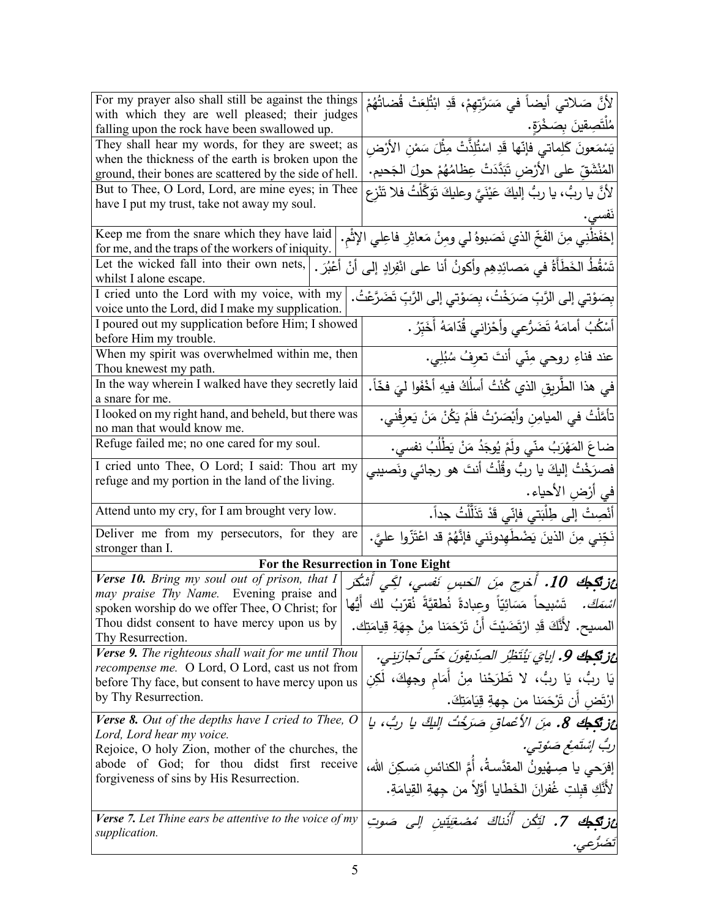| For my prayer also shall still be against the things                                                   |                                                                                                                                                                                                                                                                                       |
|--------------------------------------------------------------------------------------------------------|---------------------------------------------------------------------------------------------------------------------------------------------------------------------------------------------------------------------------------------------------------------------------------------|
|                                                                                                        | لأنَّ صَلاتي أيضاً في مَسَرَّتِهِمْ، قَدِ ابْتُلِعَتْ قُضاتُهُمْ                                                                                                                                                                                                                      |
| with which they are well pleased; their judges                                                         | مُلْتَصِقِينَ بِصَخْرَةٍ.                                                                                                                                                                                                                                                             |
| falling upon the rock have been swallowed up.                                                          |                                                                                                                                                                                                                                                                                       |
| They shall hear my words, for they are sweet; as<br>when the thickness of the earth is broken upon the |                                                                                                                                                                                                                                                                                       |
| ground, their bones are scattered by the side of hell.                                                 | يَسْمَعونَ كَلِماتي ۖ فَإِنَّها قَدِ اسْتُلِذَّتْ مِثْلَ سَمْنِ الأَرْضِ<br>المُنْشَقِّ على الأَرْضِ تَبَدَّدَتْ عِظامُهُمْ حولَ الجَحيمِ.<br>لأنَّ يا ربُّ، يا ربُّ إليكَ عَيْنَيَّ وعليكَ تَوَكَّلْتُ فلا تَنْزِع                                                                   |
| But to Thee, O Lord, Lord, are mine eyes; in Thee                                                      |                                                                                                                                                                                                                                                                                       |
| have I put my trust, take not away my soul.                                                            |                                                                                                                                                                                                                                                                                       |
|                                                                                                        |                                                                                                                                                                                                                                                                                       |
| Keep me from the snare which they have laid                                                            | إحْفَظْنِي مِنَ الفَخِّ الذي نَصَبوهُ لي ومِنْ مَعاثِرِ فاعِلي الإِثْمِ.                                                                                                                                                                                                              |
| for me, and the traps of the workers of iniquity.<br>Let the wicked fall into their own nets,          |                                                                                                                                                                                                                                                                                       |
| أَعْبُرَ .<br>whilst I alone escape.                                                                   | تَسْقُطُ الخَطَأَةُ في مَصائِدِهِم وأكونُ أنا على انْفِرادٍ إلى أنْ                                                                                                                                                                                                                   |
| I cried unto the Lord with my voice, with my                                                           |                                                                                                                                                                                                                                                                                       |
| voice unto the Lord, did I make my supplication.                                                       | بِصَوْتِي إلى الرَّبِّ صَرَخْتُ، بِصَوْتِي إلى الرَّبِّ تَضَرَّعْتُ.                                                                                                                                                                                                                  |
| I poured out my supplication before Him; I showed                                                      | أَسْكُبُ أَمامَهُ تَضَرُّعي وأَحْزاني قُدّامَهُ أَخَبِّرُ .                                                                                                                                                                                                                           |
| before Him my trouble.                                                                                 |                                                                                                                                                                                                                                                                                       |
| When my spirit was overwhelmed within me, then                                                         | عند فناءِ روحي مِنّي أنتَ تعرِفُ سُبُلِي.                                                                                                                                                                                                                                             |
| Thou knewest my path.                                                                                  |                                                                                                                                                                                                                                                                                       |
| In the way wherein I walked have they secretly laid                                                    | في هذا الطَّريقِ الذي كُنْتُ أسلُكُ فيهِ أخْفَوا ليَ فخّاً.                                                                                                                                                                                                                           |
| a snare for me.                                                                                        |                                                                                                                                                                                                                                                                                       |
| I looked on my right hand, and beheld, but there was                                                   | تأمَّلْتُ في الميامِنِ وأَبْصَرْتُ فلَمْ يَكُنْ مَنْ يَعرِفُني.                                                                                                                                                                                                                       |
| no man that would know me.                                                                             |                                                                                                                                                                                                                                                                                       |
| Refuge failed me; no one cared for my soul.                                                            | ضاعَ المَهْرَبُ منّي ولَمْ يُوجَدُ مَنْ يَطْلُبُ نفسي.                                                                                                                                                                                                                                |
| I cried unto Thee, O Lord; I said: Thou art my                                                         | فصرَخْتُ إليكَ يا ربُّ وقُلْتُ أنتَ هو رجائي ونَصيبي                                                                                                                                                                                                                                  |
| refuge and my portion in the land of the living.                                                       | في أرْضِ الأحياء.                                                                                                                                                                                                                                                                     |
|                                                                                                        |                                                                                                                                                                                                                                                                                       |
|                                                                                                        |                                                                                                                                                                                                                                                                                       |
| Attend unto my cry, for I am brought very low.                                                         | أَنْصِتْ إلى طِلْبَتي فإنِّي قَدْ تَذَلَّلْتُ جداً.                                                                                                                                                                                                                                   |
| Deliver me from my persecutors, for they are                                                           |                                                                                                                                                                                                                                                                                       |
| stronger than I.                                                                                       | نَجِّني مِنَ الذينَ يَضْطَهِدونَني فإنَّهُمْ قد اعْتَزُّوا عليَّ.                                                                                                                                                                                                                     |
| For the Resurrection in Tone Eight                                                                     |                                                                                                                                                                                                                                                                                       |
| Verse 10. Bring my soul out of prison, that $I$                                                        |                                                                                                                                                                                                                                                                                       |
| may praise Thy Name. Evening praise and                                                                |                                                                                                                                                                                                                                                                                       |
| spoken worship do we offer Thee, O Christ; for<br>Thou didst consent to have mercy upon us by          |                                                                                                                                                                                                                                                                                       |
| Thy Resurrection.                                                                                      | المسيح. لأَنَّكَ قَدِ ارْتَضَيْتَ أَنْ تَرْحَمَنا مِنْ جِهَةِ قِيامَتِك.                                                                                                                                                                                                              |
| Verse 9. The righteous shall wait for me until Thou                                                    |                                                                                                                                                                                                                                                                                       |
| <i>recompense me.</i> O Lord, O Lord, cast us not from                                                 |                                                                                                                                                                                                                                                                                       |
| before Thy face, but consent to have mercy upon us                                                     | عز <b>تَكِبُك 10.</b> أُخرِج مِنَ الحَسِنِ نَفسي <b>ِ، لَكِي أَشْكُر</b> ِ<br>  <i>اسْمَكَ.</i> تَسْبيحاً مَسَائِيّاً وعبادةً نُطقيَّةً نُقرّبُ لك أَيُّها<br>ئزيكجك 9. إيايَ يَنْتَظِرُ الصِدّيقونَ حَتّى تُجازِبَنى.<br>يَا ربُّ، يَا ربُّ، لا تَطرَحْنا مِنْ أَمَام وجهِكَ، لَكِنِ |
| by Thy Resurrection.                                                                                   | ارْتَض أن تَرْحَمَنا من جِهةِ قِيَامَتِكَ.                                                                                                                                                                                                                                            |
| Verse 8. Out of the depths have I cried to Thee, $O$                                                   |                                                                                                                                                                                                                                                                                       |
| Lord, Lord hear my voice.                                                                              | ئز تكبك 8. مِنَ الأعْماق صَرَخْتُ اللَّكَ يا ربُّ، يا                                                                                                                                                                                                                                 |
| Rejoice, O holy Zion, mother of the churches, the                                                      |                                                                                                                                                                                                                                                                                       |
| abode of God; for thou didst first receive                                                             | إفرَحي يا صِـهْيونُ المقدَّسةُ، أَمَّ الكنائس مَسكِنَ الله،                                                                                                                                                                                                                           |
| forgiveness of sins by His Resurrection.                                                               |                                                                                                                                                                                                                                                                                       |
|                                                                                                        | لأَنَّكِ قبلتِ غُفرانَ الخَطايا أَوَّلاً من جهةِ القِيامَةِ.                                                                                                                                                                                                                          |
| <b>Verse 7.</b> Let Thine ears be attentive to the voice of $my$                                       | ارِبُ إِسْتَمِعْ صَنُوتِي.                                                                                                                                                                                                                                                            |
| supplication.                                                                                          | <b>ئزيَّكِيك 7.</b> لَتَكُن أُذُناكَ مُصْغِيَتِين إلى صَوتِ<br>تَضَرُّعِي.                                                                                                                                                                                                            |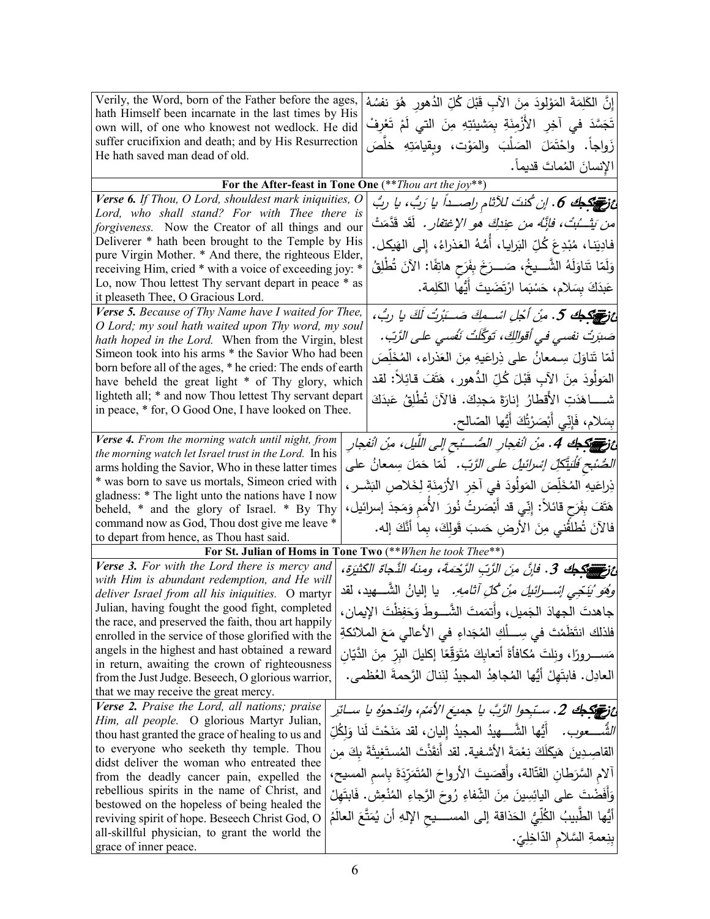| Verily, the Word, born of the Father before the ages,<br>hath Himself been incarnate in the last times by His<br>own will, of one who knowest not wedlock. He did<br>suffer crucifixion and death; and by His Resurrection | إِنَّ الكَلِمَةَ المَوْلُودَ مِنَ الآبِ قَبْلَ كُلِّ الدُهورِ ۚ هُوَ نفسُهُ<br>تَجَسَّدَ في آخِرِ الأَزْمِنَةِ بِمَشيئتِهِ مِنَ التي لَمْ تَعْرِفْ<br>زَواجاً. واحْتَمَلَ الصَلْبَ والمَوْت، وبِقيامَتِهِ خلَصَ |
|----------------------------------------------------------------------------------------------------------------------------------------------------------------------------------------------------------------------------|-----------------------------------------------------------------------------------------------------------------------------------------------------------------------------------------------------------------|
| He hath saved man dead of old.                                                                                                                                                                                             | الإنسانَ المُماتَ قديماً.                                                                                                                                                                                       |
|                                                                                                                                                                                                                            | For the After-feast in Tone One $(**$ Thou art the joy**)                                                                                                                                                       |
| $\overline{Verse}$ 6. If Thou, O Lord, shouldest mark iniquities, O                                                                                                                                                        |                                                                                                                                                                                                                 |
| Lord, who shall stand? For with Thee there is                                                                                                                                                                              |                                                                                                                                                                                                                 |
| forgiveness. Now the Creator of all things and our                                                                                                                                                                         | م <i>ن يَتْــُبُتْ، فإنَّـهُ من عِندِكَ هو الإغتفار .</i> لَقَد قَدَّمَتْ                                                                                                                                       |
| Deliverer * hath been brought to the Temple by His                                                                                                                                                                         | فادِيَنـا، مُبْدِعَ كُلِّ البَرايـا، أَمُّـهُ العَذراءُ، إِلـى الهَيكل.                                                                                                                                         |
| pure Virgin Mother. * And there, the righteous Elder,<br>receiving Him, cried * with a voice of exceeding joy: *                                                                                                           | وَلَمّا تَناوَلَهُ الشَّـــيخُ، صَـــرَخَ بِفَرَحٍ هاتِفًا: الآنَ تُطْلِقُ                                                                                                                                      |
| Lo, now Thou lettest Thy servant depart in peace * as                                                                                                                                                                      | عَبِدَكَ بِسَلامٍ، حَسْبَما ارْتَضَيتَ أَيُّها الكَلِمةِ.                                                                                                                                                       |
| it pleaseth Thee, O Gracious Lord.                                                                                                                                                                                         |                                                                                                                                                                                                                 |
| Verse 5. Because of Thy Name have I waited for Thee,                                                                                                                                                                       | غ توجيكو كي. مِنْ أُجْلِ اسْـــمِكَ صَـــَبْرِتُ لَكَ يا ربُّ،                                                                                                                                                  |
| O Lord; my soul hath waited upon Thy word, my soul                                                                                                                                                                         | صَبَرتُ نفسي في أقوالكِّ، تَوَكَّلَتْ نَفْسي على الرَّبِّ.                                                                                                                                                      |
| hath hoped in the Lord. When from the Virgin, blest<br>Simeon took into his arms * the Savior Who had been                                                                                                                 |                                                                                                                                                                                                                 |
| born before all of the ages, * he cried: The ends of earth                                                                                                                                                                 | لَمّا تَناوَلَ سِـمعانُ على ذِراعَيهِ مِنَ العَذراءِ، المُخَلِّصَ                                                                                                                                               |
| have beheld the great light * of Thy glory, which                                                                                                                                                                          | المَولَودَ مِنَ الآبِ قَبْلَ كُلِّ الدُّهورِ ، هَتَفَ قائِلاً: لقد                                                                                                                                              |
| lighteth all; * and now Thou lettest Thy servant depart<br>in peace, * for, O Good One, I have looked on Thee.                                                                                                             | شــــــاهَدَتِ الأقطارُ ۖ إنارَةَ مَجدِكَ. فالآنَ تُطْلِقُ عَبدَكَ                                                                                                                                              |
|                                                                                                                                                                                                                            | ْ بِسَلامٍ، فَإِنِّي أَبْصَرْتُكَ أَيُّها الصّالحِ.                                                                                                                                                             |
| Verse 4. From the morning watch until night, from                                                                                                                                                                          | ئ في 14. مِنْ انْفِجارِ الصَّـــْبح إلى اللَّيل، مِنْ انْفِجارِ                                                                                                                                                 |
| the morning watch let Israel trust in the Lord. In his                                                                                                                                                                     |                                                                                                                                                                                                                 |
| arms holding the Savior, Who in these latter times                                                                                                                                                                         | <i>الصُّنْحِ فَلْيَتَّكِلِّ إِسْرائَيلْ على الرَّبّ.</i> لَمّا حَمَلَ سِمعانُ على                                                                                                                               |
| * was born to save us mortals, Simeon cried with<br>gladness: * The light unto the nations have I now                                                                                                                      | ذِراعَيهِ المُخَلِّصَ المَولُودَ في آخِرِ الأَزمِنَةِ لِخَلاصِ البَشَـرِ ،                                                                                                                                      |
| beheld, * and the glory of Israel. * By Thy                                                                                                                                                                                | هَتَفَ بِفَرَحٍ قَائلاً: إِنِّي قد أَبْصَرتُ نُورَ الأُمَمِ وَمَجدَ إسرائيل،                                                                                                                                    |
| command now as God, Thou dost give me leave *                                                                                                                                                                              |                                                                                                                                                                                                                 |
| to depart from hence, as Thou hast said.                                                                                                                                                                                   | فَالآَنَ تُطْلَقُني مِنَ الأَرضِ حَسبَ قَولِكَ، بِما أَنَّكَ إله.                                                                                                                                               |
|                                                                                                                                                                                                                            | For St. Julian of Homs in Tone Two (** When he took Thee**)                                                                                                                                                     |
| Verse 3. For with the Lord there is mercy and                                                                                                                                                                              | نْ تَصْبَحْكَ 3. فَإِنَّ مِنَ الرَّبِّ الرَّحْمَةَ، ومِنْهُ النَّجَاةَ الكَثْيَرَةِ،                                                                                                                            |
| with Him is abundant redemption, and He will<br>deliver Israel from all his iniquities. O martyr                                                                                                                           | <i>وَهُوَ نُنَخِّبِي إنْســـرائنيلَ منْ كُلِّ أثامهِ.</i> يا إليانُ الشَّــــهيد، لقد                                                                                                                           |
| Julian, having fought the good fight, completed                                                                                                                                                                            | جاهدتَ الجهادَ الجَميل، وأَتمَمتَ الشَّـــوطَ وَحَفِظْتَ الإيمان،                                                                                                                                               |
| the race, and preserved the faith, thou art happily                                                                                                                                                                        |                                                                                                                                                                                                                 |
| enrolled in the service of those glorified with the                                                                                                                                                                        | فلذلك انتَظَمْتَ في سِـــلْكِ المُجَداءِ في الأعالى مَعَ الملائكةِ                                                                                                                                              |
| angels in the highest and hast obtained a reward<br>in return, awaiting the crown of righteousness                                                                                                                         | مَســــــــرورًا، ونِلتَ مُكافأةَ أتـعابِكَ مُتَوَقِّعًا إكليلَ البِرِّ مِنَ الدَّيّانِ                                                                                                                         |
| from the Just Judge. Beseech, O glorious warrior,                                                                                                                                                                          | العادِلِ. فابتَهلْ أَيُّها المُجاهِدُ المجيدُ لِنَنالَ الرَّحمةَ العُظمى.                                                                                                                                       |
| that we may receive the great mercy.                                                                                                                                                                                       |                                                                                                                                                                                                                 |
| Verse 2. Praise the Lord, all nations; praise                                                                                                                                                                              | غ توجيك 2. سـتـبحول الرَّبَّ يا  جميعَ الأمَمْ، وامْدَحوُه يا ســائرِ                                                                                                                                           |
| Him, all people. O glorious Martyr Julian,                                                                                                                                                                                 |                                                                                                                                                                                                                 |
| thou hast granted the grace of healing to us and                                                                                                                                                                           | <i>الشُّـــــعوب.</i> أَيُّها الشَّــــهيدُ المجيدُ إليان، لقد مَنَحْتَ لَنا وَلِكُلِّ                                                                                                                          |
| to everyone who seeketh thy temple. Thou<br>didst deliver the woman who entreated thee                                                                                                                                     | القاصِدِينَ هَيكَلَكَ نِعْمَةَ الأَشفية. لقد أنقَذْتَ المُستَغِيثَةَ بكَ مِن                                                                                                                                    |
| from the deadly cancer pain, expelled the                                                                                                                                                                                  | آلام السَّرَطان القَتَّالة، وأقصَيتَ الأرواحَ المُتَمَرّدَةَ بِاسم المسيح،                                                                                                                                      |
| rebellious spirits in the name of Christ, and                                                                                                                                                                              | وَأَفَضْتَ على اليائِسِينَ مِنَ الشِّفاءِ رُوحَ الرَّجاءِ المُنْعِشِ. فَابِتَهِلْ                                                                                                                               |
| bestowed on the hopeless of being healed the                                                                                                                                                                               | أَيُّها الطَّبيبُ الكُلِّيُّ الحَذاقة إلى المســـــيح الإِلهِ أن يُمَتَّعَ العالَمُ                                                                                                                             |
| reviving spirit of hope. Beseech Christ God, O<br>all-skillful physician, to grant the world the                                                                                                                           |                                                                                                                                                                                                                 |
| grace of inner peace.                                                                                                                                                                                                      | بِنِعمةِ السَّلامِ الدَّاخِلِيِّ.                                                                                                                                                                               |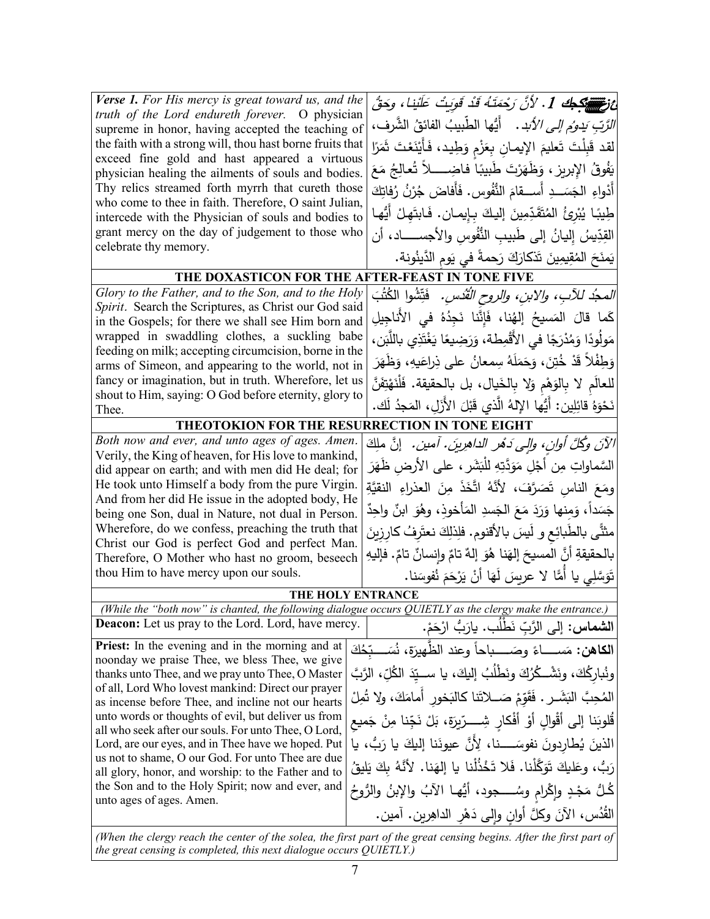| Verse 1. For His mercy is great toward us, and the<br>truth of the Lord endureth forever. O physician<br>supreme in honor, having accepted the teaching of | ئ في الله عنه 1. لأنَّ رَحْمَتَهُ قَدْ قَوِيتُ عَلَيْنَا، وحَقُّ<br><i>الرَّبِّ يَدومُ إلى الأَبد</i> ِ.    أَيُّها الطَّبيبُ الفائقُ الشَّرفِ، |
|------------------------------------------------------------------------------------------------------------------------------------------------------------|-------------------------------------------------------------------------------------------------------------------------------------------------|
| the faith with a strong will, thou hast borne fruits that<br>exceed fine gold and hast appeared a virtuous                                                 | لقد قَبِلْتَ تَعليمَ الإيمانِ بِعَزْمِ وَطِيد، فَأَيْنَعْتَ ثَمَرًا                                                                             |
| physician healing the ailments of souls and bodies.                                                                                                        | يَفُوقُ الإِبريزِ ، وَظَهَرْتَ طَبيبًا فاضِـــــلاً تُعالِجُ مَعَ                                                                               |
| Thy relics streamed forth myrrh that cureth those<br>who come to thee in faith. Therefore, O saint Julian,                                                 | أَدْواءِ الْجَسَـــدِ أَســــقامَ النُّفُوسِ. فَأَفاضَ جُرْنُ رُفاتِكَ                                                                          |
| intercede with the Physician of souls and bodies to                                                                                                        | طِيبًا يُبْرِئُ المُتَقَدِّمِينَ إِليكَ بِإِيمانٍ. فَابِتَهِلْ أَيُّها                                                                          |
| grant mercy on the day of judgement to those who                                                                                                           | القِدِّيسُ إِليانُ إِلى طَبِيبِ النُّفُوسِ والأجســــــاد، أن                                                                                   |
| celebrate thy memory.                                                                                                                                      | يَمنَحَ الْمُقِيمِينَ تَذْكَارَكَ رَحمةً في يَوم الدَّينُونة.                                                                                   |
| THE DOXASTICON FOR THE AFTER-FEAST IN TONE FIVE                                                                                                            |                                                                                                                                                 |
| Glory to the Father, and to the Son, and to the Holy                                                                                                       | <i>المجدُ للآبِ، والابنِ، والروح القُدُسِ.</i> فَتِّشُوا الكُتُبَ                                                                               |
| Spirit. Search the Scriptures, as Christ our God said<br>in the Gospels; for there we shall see Him born and                                               | كَما قالَ المَسيحُ إلهُنا، فَإِنَّنا نَجِدُهُ في الأناجِيلِ                                                                                     |
| wrapped in swaddling clothes, a suckling babe                                                                                                              | مَولُودًا وَمُدْرَجًا في الأَقْمِطة، وَرَضِيعًا يَغْتَذِي باللَّبَن،                                                                            |
| feeding on milk; accepting circumcision, borne in the                                                                                                      | وَطِفْلاً قَدْ خُتِنَ، وَحَمَلَهُ سِمعانُ على ذِراعَيهِ، وَظَهَرَ                                                                               |
| arms of Simeon, and appearing to the world, not in<br>fancy or imagination, but in truth. Wherefore, let us                                                |                                                                                                                                                 |
| shout to Him, saying: O God before eternity, glory to                                                                                                      | للعالَم لا بِالوَهْمِ وَلا بِالْخَيالِ، بل بِالْحقيقةِ. فَلْنَهْتِفَنَّ                                                                         |
| Thee.                                                                                                                                                      | نَحْوَهُ قائِلِين: أَيُّها الإِلهُ الَّذِي قَبْلَ الأَزَلِ، المَجِدُ لَك.                                                                       |
| THEOTOKION FOR THE RESURRECTION IN TONE EIGHT                                                                                                              |                                                                                                                                                 |
| Both now and ever, and unto ages of ages. Amen.                                                                                                            | الآنَ وكُلَّ أُوانٍ، وإلى دَهُرِ الداهرِينَ. آمين. [نَّ ملِكَ                                                                                   |
| Verily, the King of heaven, for His love to mankind,                                                                                                       | السَّماواتِ مِن أَجْلِ مَوَدَّتِهِ للْبَشَرِ ، على الأرض ظَهَرَ                                                                                 |
| did appear on earth; and with men did He deal; for<br>He took unto Himself a body from the pure Virgin.                                                    |                                                                                                                                                 |
| And from her did He issue in the adopted body, He                                                                                                          | ومَعَ الناسِ تَصَرَّفَ، لأَنَّهُ اتَّخَذَ مِنَ العذراءِ النقيَّةِ                                                                               |
| being one Son, dual in Nature, not dual in Person.                                                                                                         | جَسَداً، وَمِنها وَرَدَ مَعَ الجَسدِ المَأْخوذِ، وهُوَ ابنٌ واحِدٌ                                                                              |
| Wherefore, do we confess, preaching the truth that                                                                                                         | مثنَّـى بالطَّبائِع و لَيسَ بالأقنوم. فلِذلِكَ نعتَرِفُ كارِزِينَ                                                                               |
| Christ our God is perfect God and perfect Man.<br>Therefore, O Mother who hast no groom, beseech                                                           | بالحقيقةِ أنَّ المسيحَ إلهَنا هُوَ إلهٌ تامٌ وإنسانٌ تامٌ. فإليهِ                                                                               |
| thou Him to have mercy upon our souls.                                                                                                                     | تَوَسَّلِي يا أَمًّا لا عريسَ لَهَا أَنْ يَرْحَمَ نُفوسَنا.                                                                                     |
| THE HOLY ENTRANCE                                                                                                                                          |                                                                                                                                                 |
| (While the "both now" is chanted, the following dialogue occurs QUIETLY as the clergy make the entrance.)                                                  |                                                                                                                                                 |
| <b>Deacon:</b> Let us pray to the Lord. Lord, have mercy.                                                                                                  | ا <b>لشماس:</b> إلى الرَّبِّ نَطْلُبٍ. يارَبُّ ارْحَمْ.                                                                                         |
| Priest: In the evening and in the morning and at                                                                                                           | <b>الكاهن:</b> مَســــاءً وصَـــــباحاً وعِند الظّهيرَةِ، نُسَـــبّحُكَ                                                                         |
| noonday we praise Thee, we bless Thee, we give                                                                                                             | ونُباركُكَ، ونَشْــكُرُكَ ونَطْلُبُ إليكَ، يا ســـيِّدَ الكُلِّ، الرَّبَّ                                                                       |
| thanks unto Thee, and we pray unto Thee, O Master<br>of all, Lord Who lovest mankind: Direct our prayer                                                    |                                                                                                                                                 |
| as incense before Thee, and incline not our hearts                                                                                                         | المُحِبَّ النِّشَــرِ . فَقَوّمْ صَـــلاتَنا كالبَخور أمامَكَ، ولا تُمِلْ                                                                       |
| unto words or thoughts of evil, but deliver us from<br>all who seek after our souls. For unto Thee, O Lord,                                                | قُلوبَنا إلى أَقْوالٍ أَوْ أَفْكارٍ شِــــرّيرَة، بَلْ نَجِّنا مِنْ جَميع                                                                       |
| Lord, are our eyes, and in Thee have we hoped. Put                                                                                                         | الذينَ يُطارِدونَ نفوسَـــــنا، لِأَنَّ عيونَنا إليكَ يا رَبُّ، يا                                                                              |
| us not to shame, O our God. For unto Thee are due                                                                                                          | رَبُّ، وعَليكَ تَوَكَّلْنا. فَلا تَخْذُلْنا يا إلهَنا. لأنَّهُ بكَ يَليقُ                                                                       |
| all glory, honor, and worship: to the Father and to<br>the Son and to the Holy Spirit; now and ever, and                                                   |                                                                                                                                                 |
| unto ages of ages. Amen.                                                                                                                                   | كُلُّ مَجْدٍ وإِكْرامٍ وسُـــــجود، أَيُّهـا الآبُ والإبنُ والرُّوحُ                                                                            |
|                                                                                                                                                            | الْقُدُس، الآنَ وكلَّ أُوانِ وإِلَى دَهْرِ الداهِرين. آمين.                                                                                     |
|                                                                                                                                                            |                                                                                                                                                 |

*(When the clergy reach the center of the solea, the first part of the great censing begins. After the first part of the great censing is completed, this next dialogue occurs QUIETLY.)*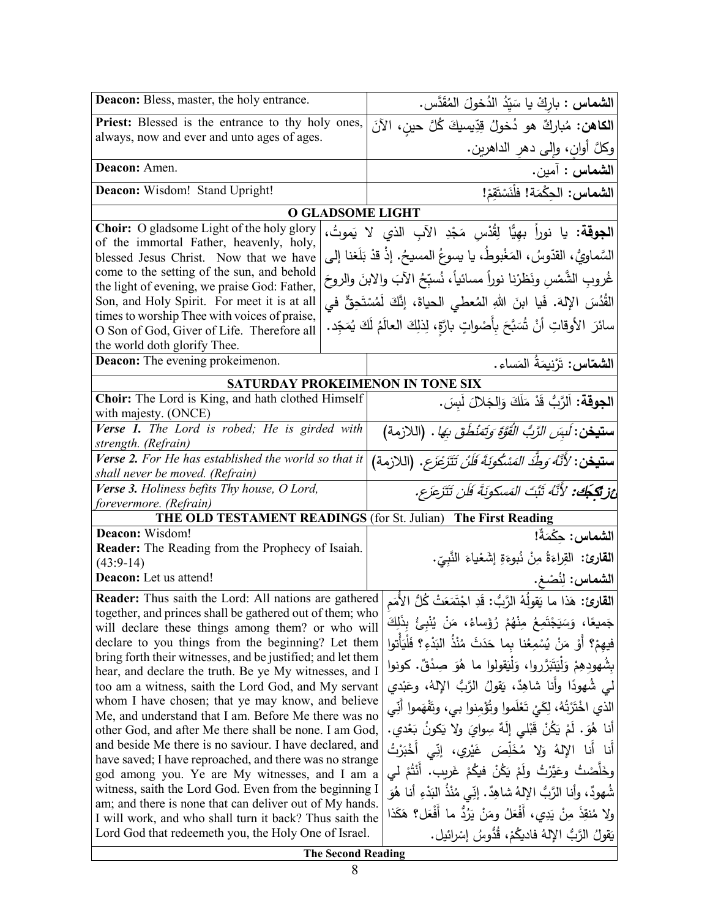| <b>Deacon:</b> Bless, master, the holy entrance.                                                                                                                                                                                                                                                                                                                                                                                                     | الشماس : باركْ يا سَيّدُ الدُخولَ المُقَدَّس.                                                                                                                                                                                                                                                                                                                                                                                                |
|------------------------------------------------------------------------------------------------------------------------------------------------------------------------------------------------------------------------------------------------------------------------------------------------------------------------------------------------------------------------------------------------------------------------------------------------------|----------------------------------------------------------------------------------------------------------------------------------------------------------------------------------------------------------------------------------------------------------------------------------------------------------------------------------------------------------------------------------------------------------------------------------------------|
| Priest: Blessed is the entrance to thy holy ones,                                                                                                                                                                                                                                                                                                                                                                                                    | ا <b>لكاهن:</b> مُباركٌ هو دُخولُ قِدِّيسيكَ كُلَّ حينِ، الآنَ                                                                                                                                                                                                                                                                                                                                                                               |
| always, now and ever and unto ages of ages.                                                                                                                                                                                                                                                                                                                                                                                                          | وكلَّ أُوانِ، وَإِلَى دَهْرِ الدَاهْرِينِ.                                                                                                                                                                                                                                                                                                                                                                                                   |
| Deacon: Amen.                                                                                                                                                                                                                                                                                                                                                                                                                                        | الشماس : آمين.                                                                                                                                                                                                                                                                                                                                                                                                                               |
| Deacon: Wisdom! Stand Upright!                                                                                                                                                                                                                                                                                                                                                                                                                       | الشماس: الحِكْمَة! فلْنَسْتَقِمْ!                                                                                                                                                                                                                                                                                                                                                                                                            |
| <b>O GLADSOME LIGHT</b>                                                                                                                                                                                                                                                                                                                                                                                                                              |                                                                                                                                                                                                                                                                                                                                                                                                                                              |
| Choir: O gladsome Light of the holy glory<br>of the immortal Father, heavenly, holy,<br>blessed Jesus Christ. Now that we have<br>come to the setting of the sun, and behold<br>the light of evening, we praise God: Father,<br>Son, and Holy Spirit. For meet it is at all<br>times to worship Thee with voices of praise,<br>O Son of God, Giver of Life. Therefore all<br>the world doth glorify Thee.<br><b>Deacon:</b> The evening prokeimenon. | ا <b>لجوقة:</b> يا نوراً بهيًّا لِقُدْس مَجْدِ الآبِ الذي لا يَموتُ،<br>السَّماويُّ، القدّوسُ، المَغْبوطُ، يا يسوعُ المسيحُ. إذْ قدْ بَلَغنا إلى<br>غُروبِ الشَّمْسِ ونَظرْنا نوراً مسائياً، نُسبِّحُ الآبَ والابنَ والروحَ<br>القُدُسَ الإِلهَ. فَيا ابنَ اللهِ المُعطي الحياةَ، إنَّكَ لَمُسْتَحِقٌّ في<br>سائرَ  الأوقاتِ  أنْ  تُسَبَّحَ بِأَصْواتٍ بارَّةٍ، لِذلِكَ  العالَمُ  لَكَ  يُمَجِّد.<br>ا <b>لشمّاس:</b> تَرْنِيمَةُ المَساء. |
|                                                                                                                                                                                                                                                                                                                                                                                                                                                      |                                                                                                                                                                                                                                                                                                                                                                                                                                              |
| <b>SATURDAY PROKEIMENON IN TONE SIX</b>                                                                                                                                                                                                                                                                                                                                                                                                              |                                                                                                                                                                                                                                                                                                                                                                                                                                              |
| Choir: The Lord is King, and hath clothed Himself                                                                                                                                                                                                                                                                                                                                                                                                    | ا <b>لجوقة:</b> اَلرَّبُّ قَدْ مَلَكَ وَالجَلالَ لَبِسَ.                                                                                                                                                                                                                                                                                                                                                                                     |
| with majesty. (ONCE)<br>Verse 1. The Lord is robed; He is girded with                                                                                                                                                                                                                                                                                                                                                                                |                                                                                                                                                                                                                                                                                                                                                                                                                                              |
| strength. (Refrain)                                                                                                                                                                                                                                                                                                                                                                                                                                  | <b>ستيخن:</b> لَسِ <i>ِّن الزَّبُ الْقُوَّةَ وَتَمَنْطُقَ بِهَا</i> .  (اللازمة)                                                                                                                                                                                                                                                                                                                                                             |
| Verse 2. For He has established the world so that it                                                                                                                                                                                                                                                                                                                                                                                                 | <b>ستيخن</b> : ' <i>لأَنَّهُ وَطِّدَ المَسْكُونَةَ فَلَنْ تَتَزَعْزَع</i> . (اللازمة)                                                                                                                                                                                                                                                                                                                                                        |
| shall never be moved. (Refrain)                                                                                                                                                                                                                                                                                                                                                                                                                      |                                                                                                                                                                                                                                                                                                                                                                                                                                              |
| Verse 3. Holiness befits Thy house, O Lord,                                                                                                                                                                                                                                                                                                                                                                                                          | أَعْزِ تَكَجَّكَ: 'لأَنَّهُ ثَبَّتَ المَسكونَةَ فَلَن تَتَزَعَزَع.                                                                                                                                                                                                                                                                                                                                                                           |
| forevermore. (Refrain)                                                                                                                                                                                                                                                                                                                                                                                                                               |                                                                                                                                                                                                                                                                                                                                                                                                                                              |
| THE OLD TESTAMENT READINGS (for St. Julian) The First Reading                                                                                                                                                                                                                                                                                                                                                                                        |                                                                                                                                                                                                                                                                                                                                                                                                                                              |
| Deacon: Wisdom!<br>Reader: The Reading from the Prophecy of Isaiah.                                                                                                                                                                                                                                                                                                                                                                                  | الشماس: حكْمَةٌ!                                                                                                                                                                                                                                                                                                                                                                                                                             |
| $(43:9-14)$                                                                                                                                                                                                                                                                                                                                                                                                                                          | القارئ: القِراءَةُ مِنْ نُبوءَةِ إشَعْياءَ النَّبِيّ.                                                                                                                                                                                                                                                                                                                                                                                        |
| Deacon: Let us attend!                                                                                                                                                                                                                                                                                                                                                                                                                               | الشماس: لِنُصْغ.                                                                                                                                                                                                                                                                                                                                                                                                                             |
| القارئ: هَذا ما يَقولُهُ الرَّبُّ: قَدِ اجْتَمَعَتْ كُلُّ الأُمَم   Reader: Thus saith the Lord: All nations are gathered                                                                                                                                                                                                                                                                                                                            |                                                                                                                                                                                                                                                                                                                                                                                                                                              |
| together, and princes shall be gathered out of them; who                                                                                                                                                                                                                                                                                                                                                                                             |                                                                                                                                                                                                                                                                                                                                                                                                                                              |
| will declare these things among them? or who will                                                                                                                                                                                                                                                                                                                                                                                                    | جَميعًا، وَسَيَجْتَمِعُ مِنْهُمْ رُؤَساءُ، مَنْ يُنْبِئُ بِذَٰلِكَ                                                                                                                                                                                                                                                                                                                                                                           |
| declare to you things from the beginning? Let them                                                                                                                                                                                                                                                                                                                                                                                                   | فيهمْ؟ أَوْ مَنْ يُسْمِعُنا بما حَدَثَ مُنْذُ البَدْءِ؟ فَلْيَأْتوا                                                                                                                                                                                                                                                                                                                                                                          |
| bring forth their witnesses, and be justified; and let them                                                                                                                                                                                                                                                                                                                                                                                          | بِشُهُودِهِمْ وَلْيَتَبَرَّرُوا، وَلْيَقُولُوا ما هُوَ صِدْقٌ. كُونُوا                                                                                                                                                                                                                                                                                                                                                                       |
| hear, and declare the truth. Be ye My witnesses, and I                                                                                                                                                                                                                                                                                                                                                                                               |                                                                                                                                                                                                                                                                                                                                                                                                                                              |
| too am a witness, saith the Lord God, and My servant<br>whom I have chosen; that ye may know, and believe                                                                                                                                                                                                                                                                                                                                            | لمي شُهودًا وأَنا شاهِدٌ، يَقولُ الرَّبُ الإِلهُ، وعَبْدي                                                                                                                                                                                                                                                                                                                                                                                    |
| Me, and understand that I am. Before Me there was no                                                                                                                                                                                                                                                                                                                                                                                                 | الذي اخْتَرْتُهُ، لِكَيْ تَعْلَموا وتُؤْمنوا بي، وتَفْهَموا أنِّي                                                                                                                                                                                                                                                                                                                                                                            |
| other God, and after Me there shall be none. I am God,                                                                                                                                                                                                                                                                                                                                                                                               | أنا هُوَ. لَمْ يَكُنْ قَبْلَى إِلَهٌ سِوايَ ولا يَكونُ بَعْدي.                                                                                                                                                                                                                                                                                                                                                                               |
| and beside Me there is no saviour. I have declared, and                                                                                                                                                                                                                                                                                                                                                                                              | أنا أنا الإلهُ وَلا مُخَلِّصَ غَيْرِي، إنِّي أُخْبَرْتُ                                                                                                                                                                                                                                                                                                                                                                                      |
| have saved; I have reproached, and there was no strange                                                                                                                                                                                                                                                                                                                                                                                              |                                                                                                                                                                                                                                                                                                                                                                                                                                              |
| god among you. Ye are My witnesses, and I am a                                                                                                                                                                                                                                                                                                                                                                                                       | وخَلَّصْتُ وعَيَّرْتُ ولَمْ يَكُنْ فيكُمْ غَرِيبٍ. أَنْتُمْ لي                                                                                                                                                                                                                                                                                                                                                                               |
| witness, saith the Lord God. Even from the beginning I                                                                                                                                                                                                                                                                                                                                                                                               | شُهودٌ، وأنا الرَّبُّ اﻹلهُ شاهِدٌ. إنِّي مُنْذُ البَدْءِ أنا هُوَ                                                                                                                                                                                                                                                                                                                                                                           |
| am; and there is none that can deliver out of My hands.<br>I will work, and who shall turn it back? Thus saith the                                                                                                                                                                                                                                                                                                                                   | ولا مُنقِذَ مِنْ يَدِي، أَفْعَلُ ومَنْ يَرُدُّ ما أَفْعَل؟ هَكَذا                                                                                                                                                                                                                                                                                                                                                                            |
| Lord God that redeemeth you, the Holy One of Israel.                                                                                                                                                                                                                                                                                                                                                                                                 | يَقولُ الرَّبُّ اﻹلهُ فاديكُمْ، قُدُّوسُ إِسْرائيل.                                                                                                                                                                                                                                                                                                                                                                                          |
| <b>The Second Reading</b>                                                                                                                                                                                                                                                                                                                                                                                                                            |                                                                                                                                                                                                                                                                                                                                                                                                                                              |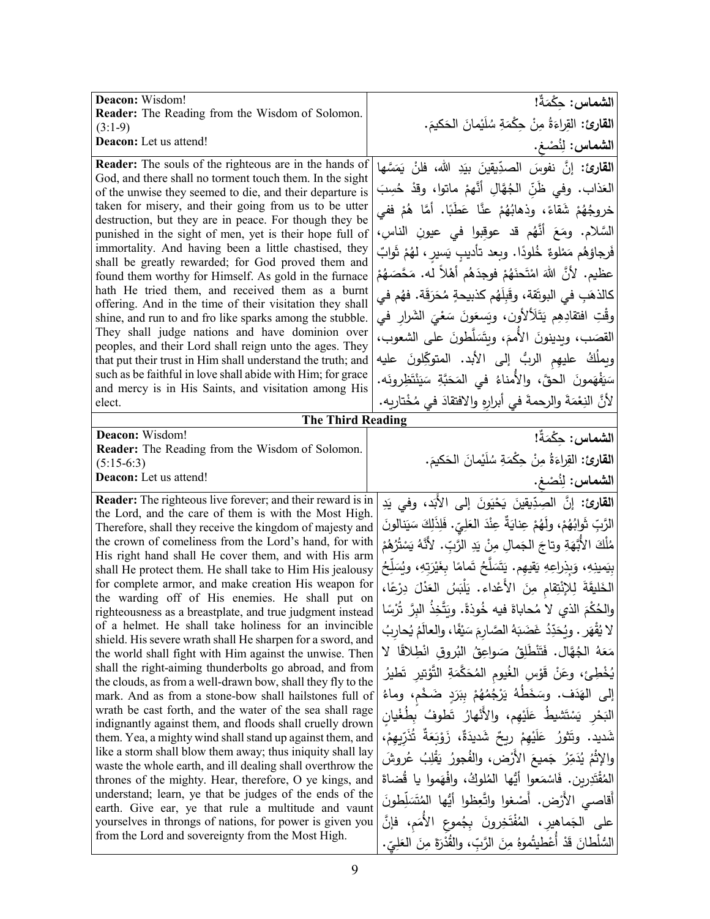| Deacon: Wisdom!                                                                                                            | الشماس: حكْمَةٌ!                                                                |
|----------------------------------------------------------------------------------------------------------------------------|---------------------------------------------------------------------------------|
| Reader: The Reading from the Wisdom of Solomon.                                                                            | القارئ: القِراءَةُ مِنْ حِكْمَةِ سُلَيْمانَ الحَكيمَ.                           |
| $(3:1-9)$<br>Deacon: Let us attend!                                                                                        |                                                                                 |
|                                                                                                                            | الشماس: لِنُصْغ.                                                                |
| <b>Reader:</b> The souls of the righteous are in the hands of<br>God, and there shall no torment touch them. In the sight  | القارئ: إنَّ نفوسَ الصدِّيقينَ بيَدِ الله، فلنْ يَمَسَّها                       |
| of the unwise they seemed to die, and their departure is                                                                   | العَذاب. وفي ظُنِّ الجُهَّالِ أنَّهمْ ماتوا، وقدْ حُسِبَ                        |
| taken for misery, and their going from us to be utter                                                                      | خروجُهُمْ شَقاءً، وذهابُهُمْ عنَّا عَطَبًا. أمَّا هُمْ ففي                      |
| destruction, but they are in peace. For though they be                                                                     |                                                                                 |
| punished in the sight of men, yet is their hope full of                                                                    | السَّلام. ومَعَ أَنَّهُم قد عوقبوا في عيونِ الناسِ،                             |
| immortality. And having been a little chastised, they                                                                      | فَرجاؤهُم مَمْلوءٌ خُلودًا. وبعد تأديبِ يَسير ، لهُمْ ثَوابٌ                    |
| shall be greatly rewarded; for God proved them and<br>found them worthy for Himself. As gold in the furnace                | عظيم. لأنَّ اللهَ امْتَحنَهُمْ فوجدَهُم أهْلاً له. مَحَّصَهُمْ                  |
| hath He tried them, and received them as a burnt                                                                           |                                                                                 |
| offering. And in the time of their visitation they shall                                                                   | كالذهَبِ في البوتَقة، وقَبِلَهُم كذبيحةٍ مُحَرَقَة. فهُم في                     |
| shine, and run to and fro like sparks among the stubble.                                                                   | وقْتِ افتقادِهِم يَتَلَألأُون، ويَسعَونَ سَعْيَ الشَرارِ في                     |
| They shall judge nations and have dominion over                                                                            | القصَب، ويدينونَ الأممَ، ويتَسَلَّطونَ على الشعوب،                              |
| peoples, and their Lord shall reign unto the ages. They                                                                    |                                                                                 |
| that put their trust in Him shall understand the truth; and<br>such as be faithful in love shall abide with Him; for grace | ويملُكُ   عليهِم   الربُّ    إلى   الأبد.   المتوكِّلونَ    عليه                |
| and mercy is in His Saints, and visitation among His                                                                       | سَيَفْهَمونَ الحقَّ، والأمناءُ في المَحَبَّةِ سَيَنْتَظِرونَه.                  |
| elect.                                                                                                                     | لأَنَّ النِعْمَةَ والرحمةَ في أبرارِهِ والافتقادَ في مُخْتارِيه.                |
| <b>The Third Reading</b>                                                                                                   |                                                                                 |
| Deacon: Wisdom!                                                                                                            | ال <b>شماس:</b> حِكْمَةٌ!                                                       |
| Reader: The Reading from the Wisdom of Solomon.                                                                            |                                                                                 |
| $(5:15-6:3)$                                                                                                               | ا <b>لقارئ:</b> القِراءَةُ مِنْ حِكْمَةِ سُلَيْمانَ الحَكيمَ.                   |
| Deacon: Let us attend!                                                                                                     | الشماس: لِنُصْغ.                                                                |
| <b>Reader:</b> The righteous live forever; and their reward is in                                                          | ا <b>لقارئ:</b> إنَّ الصِدِّيقينَ يَحْيَونَ إلى الأَبَد، وفي يَدِ               |
| the Lord, and the care of them is with the Most High.                                                                      |                                                                                 |
| Therefore, shall they receive the kingdom of majesty and                                                                   | الرَّبِّ ثَوابُهُمْ، ولَهُمْ عِنايَةٌ عِنْدَ العَلِيِّ. فَلِذَلِكَ سَيَنالونَ   |
| the crown of comeliness from the Lord's hand, for with<br>His right hand shall He cover them, and with His arm             | مُلْكَ الأَبَّهَةِ وتاجَ الجَمالِ مِنْ يَدِ الرَّبِّ. لأَنَّهُ يَسْتُرُهُمْ     |
| shall He protect them. He shall take to Him His jealousy                                                                   | بِيَمينِهِ، وَبِذِراعِهِ يَقِيهِم. يَتَسَلَّحُ تَمامًا بِغَيْرَتِهِ، ويُسَلِّحُ |
| for complete armor, and make creation His weapon for                                                                       | الخَليقَةَ لِلإِنْتِقامِ مِنَ الأَعْداءِ. يَلْبَسُ العَدْلَ دِرْعًا،            |
| the warding off of His enemies. He shall put on                                                                            |                                                                                 |
| righteousness as a breastplate, and true judgment instead                                                                  | والحُكْمَ الذي لا مُحاباةَ فيه خُوذةً. ويَتَّخِذُ البِرَّ تُرْسًا               |
| of a helmet. He shall take holiness for an invincible                                                                      | لا يُقْهَر . وبُحَدِّدُ غَضَبَهُ الصَّارِمَ سَيْفًا، والعالَمُ يُحارِبُ         |
| shield. His severe wrath shall He sharpen for a sword, and<br>the world shall fight with Him against the unwise. Then      | مَعَهُ الْجُهَّالِ. فَتَنْطَلِقُ صَواعِقُ البُروقِ انْطِلاقًا لا                |
| shall the right-aiming thunderbolts go abroad, and from                                                                    | يُخْطِئ، وعَنْ قَوْسِ الغُيومِ المُحَكَّمَةِ التَّوْتيرِ تَطْيِرُ               |
| the clouds, as from a well-drawn bow, shall they fly to the                                                                |                                                                                 |
| mark. And as from a stone-bow shall hailstones full of                                                                     | إِلَى الهَدَف. وسَخَطَهُ يَرْجُمُهُمْ بِبَرَدٍ ضَخْم، وماءُ                     |
| wrath be cast forth, and the water of the sea shall rage<br>indignantly against them, and floods shall cruelly drown       | الْبَحْرِ يَسْتَشْيِطُ عَلَيْهِم، والأَنْهارُ تَطْوفُ بِطُغْيان                 |
| them. Yea, a mighty wind shall stand up against them, and                                                                  | شَديد. وتَتْورُ عَلَيْهِمْ رِبِحٌ شَديدَةٌ، زَوْبَعَةٌ تُذَرّبهمْ،              |
| like a storm shall blow them away; thus iniquity shall lay                                                                 | والإِثْمُ يُدَمِّرُ جَميعَ الأَرْضِ، والفُجورُ يَقْلِبُ عُروشَ                  |
| waste the whole earth, and ill dealing shall overthrow the                                                                 |                                                                                 |
| thrones of the mighty. Hear, therefore, O ye kings, and                                                                    | المُقْتَدِرِينِ. فَاسْمَعوا أَيُّها الْمُلُوكُ، وافْهَموا يا قُضاةَ             |
| understand; learn, ye that be judges of the ends of the                                                                    | أقاصي الأرْض. أَصْغوا واتَّعِظوا أَيُّها المُتَسَلِّطونَ                        |
| earth. Give ear, ye that rule a multitude and vaunt                                                                        | على الجَماهير، المُفْتَخِرونَ بِجُموعِ الأُمَم، فإنَّ                           |
| yourselves in throngs of nations, for power is given you<br>from the Lord and sovereignty from the Most High.              |                                                                                 |
|                                                                                                                            | السُّلْطانَ قَدْ أَعْطيتُموهُ مِنَ الرَّبِّ، والقُدْرَةَ مِنَ العَلِيِّ.        |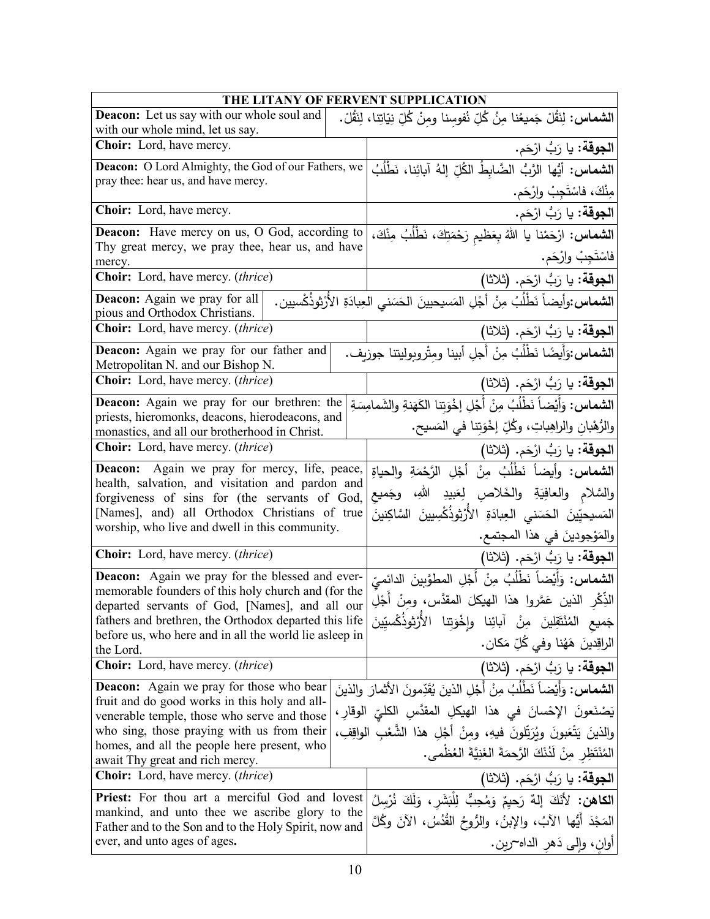| THE LITANY OF FERVENT SUPPLICATION                                                                            |                                                                                                |  |
|---------------------------------------------------------------------------------------------------------------|------------------------------------------------------------------------------------------------|--|
| <b>Deacon:</b> Let us say with our whole soul and                                                             | ا <b>لشماس:</b> لِنَقُلْ جَميعُنا مِنُ كُلِّ نُفوسِنا ومِنْ كُلِّ نِيَاتِنا، لِنَقُلْ.         |  |
| with our whole mind, let us say.                                                                              |                                                                                                |  |
| Choir: Lord, have mercy.                                                                                      | ا <b>لجوقة:</b> يا رَبُّ ارْحَم.                                                               |  |
| Deacon: O Lord Almighty, the God of our Fathers, we                                                           | <b>الشماس:</b> أيُّها الرَّبُّ الضَّابطُ الكُلِّ إِلهُ آبائِنا، نَطْلُبُ                       |  |
| pray thee: hear us, and have mercy.                                                                           | مِنْكَ، فاسْتَجِبْ وارْحَم.                                                                    |  |
| Choir: Lord, have mercy.                                                                                      | ا <b>لجوقة:</b> يا رَبُّ ارْحَم.                                                               |  |
| <b>Deacon:</b> Have mercy on us, O God, according to                                                          | <b>الشماس:</b> ارْحَمْنَا يا اللهُ بِعَظيم رَحْمَتِكَ، نَطْلُبُ مِنْكَ،                        |  |
| Thy great mercy, we pray thee, hear us, and have<br>mercy.                                                    | فاسْتَجِبْ وارْحَم.                                                                            |  |
| Choir: Lord, have mercy. (thrice)                                                                             | ا <b>لجوقة:</b> يا رَبُّ ارْحَم. (ثلاثا)                                                       |  |
| Deacon: Again we pray for all                                                                                 | ا <b>لشماس:</b> وأيضاً نَطْلُبُ مِنْ أَجْلِ المَسيحيينَ الحَسَنى العِبادَةِ الأَرْثِوذُكْسيين. |  |
| pious and Orthodox Christians.                                                                                |                                                                                                |  |
| <b>Choir:</b> Lord, have mercy. <i>(thrice)</i>                                                               | الجوقة: يا رَبُّ ارْحَم. (ثلاثا)                                                               |  |
| <b>Deacon:</b> Again we pray for our father and<br>Metropolitan N. and our Bishop N.                          | ا <b>لشماس:</b> وَأَيضًا نَطْلُبُ مِنْ أَجلِ أبينا ومثْروبوليتنا جوزبف.                        |  |
| Choir: Lord, have mercy. (thrice)                                                                             | الجوقة: يا رَبُّ ارْحَم. (ثلاثا)                                                               |  |
| Deacon: Again we pray for our brethren: the                                                                   | <b>الشماس:</b> وَأَيْضاً نَطْلُبُ مِنْ أَجْلِ إخْوَتنا الكَهَنةِ والشَمامِسَةِ                 |  |
| priests, hieromonks, deacons, hierodeacons, and<br>monastics, and all our brotherhood in Christ.              | والرُّهْبان والراهِباتِ، وكُلِّ إخْوَتِنا في المَسيح.                                          |  |
| <b>Choir:</b> Lord, have mercy. (thrice)                                                                      | الجوقة: يا رَبُّ ارْحَم. (ثلاثا)                                                               |  |
| Again we pray for mercy, life, peace,<br><b>Deacon:</b>                                                       | <b>الشماس:</b> وأيضاً نَطْلُبُ مِنْ أَجْلِ الرَّحْمَةِ والحياةِ                                |  |
| health, salvation, and visitation and pardon and                                                              |                                                                                                |  |
| forgiveness of sins for (the servants of God,                                                                 | والسَّلام والعافِيَةِ والخَلاصِ لِعَبيدِ اللهِ، وجَميع                                         |  |
| [Names], and) all Orthodox Christians of true<br>worship, who live and dwell in this community.               | المَسيحيِّينَ الحَسَني العِبادَةِ الأَرْثِوذُكْسِيينَ السَّاكِنينَ                             |  |
|                                                                                                               | والمَوْجودينَ في هذا المجتمع.                                                                  |  |
| Choir: Lord, have mercy. (thrice)                                                                             | ا <b>لجوقة:</b> يا رَبُّ ارْحَم. (ثلاثا)                                                       |  |
| <b>Deacon:</b> Again we pray for the blessed and ever-<br>memorable founders of this holy church and (for the | ا <b>لشماس</b> : وَأَيْضاً نَطْلُبُ مِنْ أَجْلِ المطوَّبينَ الدائميِّ                          |  |
| departed servants of God, [Names], and all our                                                                | الذِّكْرِ  الذينِ  عَمَّروا  هذا  الهيكلَ  المقدَّس،  ومنْ  أَجْلِ                             |  |
| fathers and brethren, the Orthodox departed this life                                                         | الأُرْثوذُكُسيّي <i>ن</i> َ<br>جَميع المُنْتَقِلينَ مِنْ آبائِنا وإِخْوَتِنا                   |  |
| before us, who here and in all the world lie asleep in<br>the Lord.                                           | الراقِدينَ هَهُنا وفي كُلِّ مَكان.                                                             |  |
| Choir: Lord, have mercy. (thrice)                                                                             | ا <b>لجوقة:</b> يا رَبُّ ارْحَم. (ثلاثا)                                                       |  |
| <b>Deacon:</b> Again we pray for those who bear                                                               | ا <b>لشماس:</b> وَأَيْضاً نَطْلُبُ مِنْ أَجْلِ الذينَ يُقَدِّمونَ الأثمارَ والذينَ             |  |
| fruit and do good works in this holy and all-<br>venerable temple, those who serve and those                  | يَصْنَعونَ الإحْسانَ في هذا الهيكلِ المقدَّسِ الكليِّ الوقارِ ،                                |  |
| who sing, those praying with us from their                                                                    | والذينَ يَتْعَبُّونَ ويُرَبِّلُونَ فيهِ، ومنْ أَجْلِ هذا الشُّعْبِ الواقِفِ،                   |  |
| homes, and all the people here present, who                                                                   | المُنْتَظِرِ مِنْ لَدُنْكَ الرَّحمَةَ الغَنِيَّةَ العُظْمى.                                    |  |
| await Thy great and rich mercy.<br>Choir: Lord, have mercy. (thrice)                                          | الجوقة: يا رَبُ ارْحَم. (ثلاثا)                                                                |  |
| Priest: For thou art a merciful God and lovest                                                                | الكاهن: لأَنَكَ إِلهٌ رَحِيمٌ وَمُحِبٌّ لِلْبَشَرِ ، وَلَكَ نُرْسِلُ                           |  |
| mankind, and unto thee we ascribe glory to the                                                                | المَجْدَ أَيُّها الآبُ، والإبنُ، والرُّوحُ القُدُسُ، الآنَ وكُلَّ                              |  |
| Father and to the Son and to the Holy Spirit, now and<br>ever, and unto ages of ages.                         |                                                                                                |  |
|                                                                                                               | أُوانِ، وَإِلَى دَهْرِ الداه~رين.                                                              |  |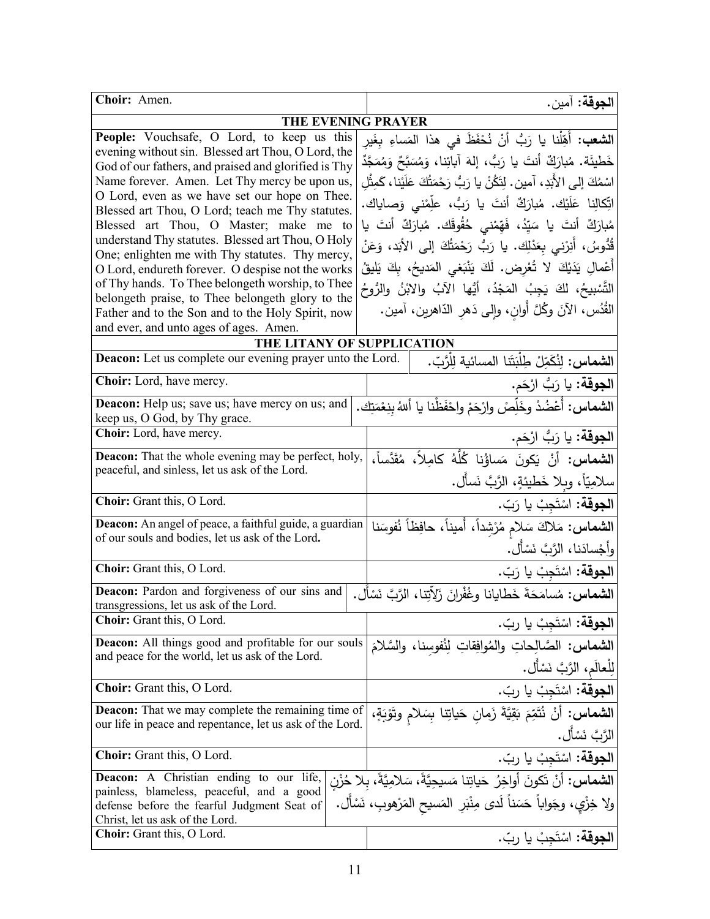| Choir: Amen.                                                                                                                                                                                                                                                                                                                                                                                                                                                                                                          | ا <b>لجوقة:</b> آمين.                                                                                                                                                                                                                                                                                                                                                                                                                                                                                             |  |
|-----------------------------------------------------------------------------------------------------------------------------------------------------------------------------------------------------------------------------------------------------------------------------------------------------------------------------------------------------------------------------------------------------------------------------------------------------------------------------------------------------------------------|-------------------------------------------------------------------------------------------------------------------------------------------------------------------------------------------------------------------------------------------------------------------------------------------------------------------------------------------------------------------------------------------------------------------------------------------------------------------------------------------------------------------|--|
| THE EVENING PRAYER                                                                                                                                                                                                                                                                                                                                                                                                                                                                                                    |                                                                                                                                                                                                                                                                                                                                                                                                                                                                                                                   |  |
| People: Vouchsafe, O Lord, to keep us this<br>evening without sin. Blessed art Thou, O Lord, the<br>God of our fathers, and praised and glorified is Thy<br>Name forever. Amen. Let Thy mercy be upon us,<br>O Lord, even as we have set our hope on Thee.<br>Blessed art Thou, O Lord; teach me Thy statutes.<br>Blessed art Thou, O Master; make me to<br>understand Thy statutes. Blessed art Thou, O Holy<br>One; enlighten me with Thy statutes. Thy mercy,<br>O Lord, endureth forever. O despise not the works | ا <b>لشعب:</b> أَهِّلْنا يا رَبُّ أنْ نُحْفَظَ في هذا المَساءِ بِغَيرِ<br>خَطْيئَة. مُبارَكٌ أنتَ يا رَبُّ، إلهَ آبائِنا، وَمُسَبَّحٌ وَمُمَجَّدٌ<br>اسْمُكَ إلى الأَبَدِ، آمين. لِتَكُنْ يا رَبُّ رَحْمَتُكَ عَلَيْنا، كَمِثْلِ<br>اتِّكالِنا عَلَيْك. مُبارَكٌ أنتَ يا رَبُّ، علِّمْنى وَصاياك.<br>مُبارَكٌ أنتَ يا سَيِّدُ، فَهِّمْني حُقُوقَك. مُبارَكٌ أنتَ يا<br>قُدُّوسُ، أَنِرْنى بِعَدْلِك. يا رَبُّ رَحْمَتُكَ إلى الأَبَد، وَعَنْ<br>أَعْمالِ يَدَيْكَ لا تُعْرِض. لَكَ يَنْبَغي المَديحُ، بِكَ يَليقُ |  |
| of Thy hands. To Thee belongeth worship, to Thee<br>belongeth praise, to Thee belongeth glory to the<br>Father and to the Son and to the Holy Spirit, now<br>and ever, and unto ages of ages. Amen.                                                                                                                                                                                                                                                                                                                   | التَّسْبِيحُ، لكَ يَجِبُ المَجْدُ، أَيُّها الآبُ والابْنُ والرُّوحُ<br>الْقُدُس، الآنَ وكُلَّ أُوانِ، وإِلَى دَهْرِ الدَّاهرينِ، آمين.                                                                                                                                                                                                                                                                                                                                                                            |  |
| THE LITANY OF SUPPLICATION                                                                                                                                                                                                                                                                                                                                                                                                                                                                                            |                                                                                                                                                                                                                                                                                                                                                                                                                                                                                                                   |  |
| <b>Deacon:</b> Let us complete our evening prayer unto the Lord.                                                                                                                                                                                                                                                                                                                                                                                                                                                      | ا <b>لشماس:</b> لِنُكَمِّلْ طِلْبَتَنا المسائية لِلْرَّبّ.                                                                                                                                                                                                                                                                                                                                                                                                                                                        |  |
| Choir: Lord, have mercy.                                                                                                                                                                                                                                                                                                                                                                                                                                                                                              | ا <b>لجوقة:</b> يا رَبُّ ارْحَم.                                                                                                                                                                                                                                                                                                                                                                                                                                                                                  |  |
| <b>Deacon:</b> Help us; save us; have mercy on us; and<br>keep us, O God, by Thy grace.                                                                                                                                                                                                                                                                                                                                                                                                                               | ا <b>لشماس:</b> أَعْضُدْ وخَلِّصْ وارْحَمْ واحْفَظْنا يا أللهُ بنِعْمَتِك.                                                                                                                                                                                                                                                                                                                                                                                                                                        |  |
| Choir: Lord, have mercy.                                                                                                                                                                                                                                                                                                                                                                                                                                                                                              | ا <b>لجوقة:</b> يا رَبُّ ارْحَم.                                                                                                                                                                                                                                                                                                                                                                                                                                                                                  |  |
| Deacon: That the whole evening may be perfect, holy,<br>peaceful, and sinless, let us ask of the Lord.                                                                                                                                                                                                                                                                                                                                                                                                                | ا <b>لشماس:</b> أَنْ يَكونَ مَساؤُنِا كُلُّهُ كامِلاً، مُقَدَّساً،<br>سلامِيّاً، وبلا خَطيئةٍ، الرَّبَّ نَسأَل.                                                                                                                                                                                                                                                                                                                                                                                                   |  |
| Choir: Grant this, O Lord.                                                                                                                                                                                                                                                                                                                                                                                                                                                                                            | الجوقة: اسْتَجِبْ يا رَبّ.                                                                                                                                                                                                                                                                                                                                                                                                                                                                                        |  |
| Deacon: An angel of peace, a faithful guide, a guardian<br>of our souls and bodies, let us ask of the Lord.                                                                                                                                                                                                                                                                                                                                                                                                           | ال <b>شماس:</b> مَلاكَ سَلامٍ مُرْشِداً، أَميناً، حافِظاً نُفوسَنا<br>وأجْسادَنا، الرَّبَّ نَسْأَل.                                                                                                                                                                                                                                                                                                                                                                                                               |  |
| Choir: Grant this, O Lord.                                                                                                                                                                                                                                                                                                                                                                                                                                                                                            | ا <b>لجوقة:</b> اسْتَجِبْ يا رَبّ.                                                                                                                                                                                                                                                                                                                                                                                                                                                                                |  |
| Deacon: Pardon and forgiveness of our sins and<br>transgressions, let us ask of the Lord.                                                                                                                                                                                                                                                                                                                                                                                                                             | ا <b>لشماس:</b> مُسامَحَةَ خَطايانا وغُفْرانَ زَلاِّتِنا، الرَّبَّ نَسْأَل.                                                                                                                                                                                                                                                                                                                                                                                                                                       |  |
| Choir: Grant this, O Lord.                                                                                                                                                                                                                                                                                                                                                                                                                                                                                            | ا <b>لجوقة:</b> اسْتَجِبْ يا ربّ.                                                                                                                                                                                                                                                                                                                                                                                                                                                                                 |  |
| <b>Deacon:</b> All things good and profitable for our souls<br>and peace for the world, let us ask of the Lord.                                                                                                                                                                                                                                                                                                                                                                                                       | ا <b>لشماس:</b> الصَّالِحاتِ والمُوافِقاتِ لِنُفوسنا، والسَّلامَ<br>لِلْعالَمِ، الرَّبَّ نَسْأَل.                                                                                                                                                                                                                                                                                                                                                                                                                 |  |
| Choir: Grant this, O Lord.                                                                                                                                                                                                                                                                                                                                                                                                                                                                                            | ا <b>لجوقة:</b> اسْتَجِبْ يا ربّ.                                                                                                                                                                                                                                                                                                                                                                                                                                                                                 |  |
| <b>Deacon:</b> That we may complete the remaining time of<br>our life in peace and repentance, let us ask of the Lord.                                                                                                                                                                                                                                                                                                                                                                                                | الشماس: أَنْ نُتَمِّمَ بَقِيَّةَ زَمانِ حَياتِنا بِسَلامِ وتَوْبَةٍ،<br>الرَّبَّ نَسْأَل.                                                                                                                                                                                                                                                                                                                                                                                                                         |  |
| Choir: Grant this, O Lord.                                                                                                                                                                                                                                                                                                                                                                                                                                                                                            | ا <b>لجوقة:</b> اسْتَجِبْ يا ربّ.                                                                                                                                                                                                                                                                                                                                                                                                                                                                                 |  |
| <b>Deacon:</b> A Christian ending to our life,<br>painless, blameless, peaceful, and a good<br>defense before the fearful Judgment Seat of<br>Christ, let us ask of the Lord.                                                                                                                                                                                                                                                                                                                                         | ا <b>لشماس:</b> أَنْ تَكونَ أُواخِرُ حَياتِنا مَسيحِيَّةً، سَلامِيَّةً، بِلا حُزْنِ<br>ولا خِزْي، وجَواباً حَسَناً لَدى مِنْبَرِ  المَسيح المَرْهوبِ، نَسْأَل.                                                                                                                                                                                                                                                                                                                                                    |  |
| <b>Choir:</b> Grant this, O Lord.                                                                                                                                                                                                                                                                                                                                                                                                                                                                                     | ا <b>لجوقة:</b> اسْتَجِبْ يا ربّ.                                                                                                                                                                                                                                                                                                                                                                                                                                                                                 |  |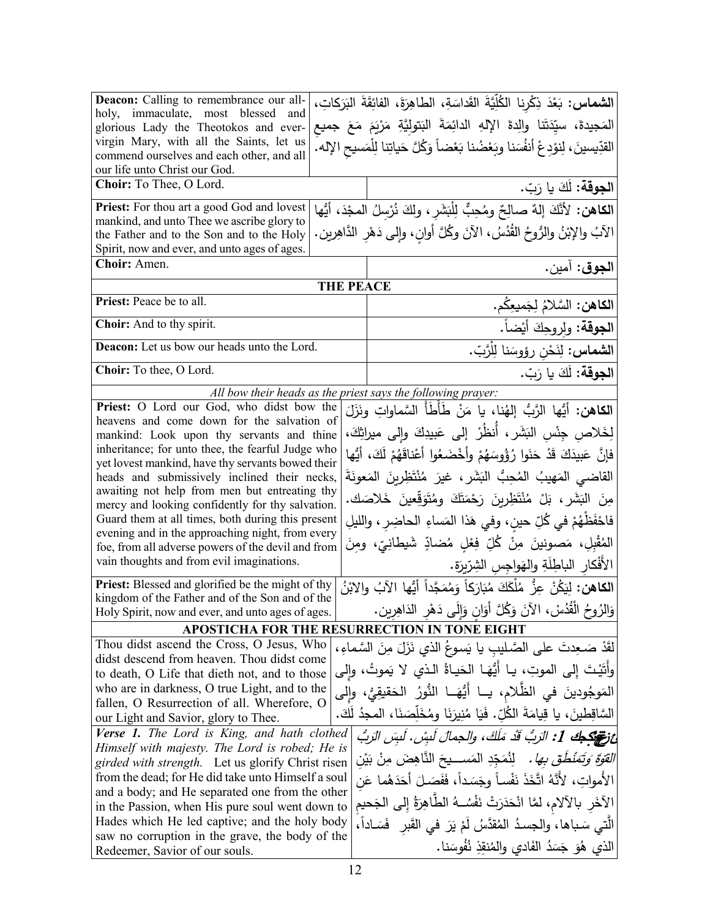| Deacon: Calling to remembrance our all-                                                                                                                                 | ا <b>لشماس:</b> بَعْدَ ذِكْرِنا الكُلِّيَّةَ القَداسَةِ، الطاهِرَةَ، الفائِقَةَ البَرَكاتِ، |                                                    |
|-------------------------------------------------------------------------------------------------------------------------------------------------------------------------|---------------------------------------------------------------------------------------------|----------------------------------------------------|
| holy, immaculate, most blessed and                                                                                                                                      | المَجيدةَ، سيِّدَتَنا والِدةَ الإِلهِ الدائِمَةَ البَتوليَّةِ مَرْبَمَ مَعَ جميع            |                                                    |
| glorious Lady the Theotokos and ever-<br>virgin Mary, with all the Saints, let us                                                                                       |                                                                                             |                                                    |
| commend ourselves and each other, and all                                                                                                                               | القدِّيسينَ، لِنوْدِعْ أنفُسَنا وبَعْضُنا بَعْضاً وَكُلَّ حَياتِنا لِلْمَسيحِ الإله.        |                                                    |
| our life unto Christ our God.                                                                                                                                           |                                                                                             |                                                    |
| Choir: To Thee, O Lord.                                                                                                                                                 | ا <b>لجوقة:</b> لَكَ يا رَبّ.                                                               |                                                    |
| Priest: For thou art a good God and lovest                                                                                                                              | الكاهن: لأَنَّكَ إلهٌ صالِحٌ ومُحِبٌّ لِلْبَشَرِ ، ولكَ نُرْسِلُ المجْدَ، أيُّها            |                                                    |
| mankind, and unto Thee we ascribe glory to                                                                                                                              | الآبُ والإبْنُ والرُّوحُ القُدُسُ، الآنَ وكُلَّ أوانِ، وإلى دَهْرِ الدَّاهِرين.             |                                                    |
| the Father and to the Son and to the Holy<br>Spirit, now and ever, and unto ages of ages.                                                                               |                                                                                             |                                                    |
| Choir: Amen.<br>ا <b>لجوق</b> : آمين.                                                                                                                                   |                                                                                             |                                                    |
|                                                                                                                                                                         | <b>THE PEACE</b>                                                                            |                                                    |
| Priest: Peace be to all.                                                                                                                                                | ا <b>لكاهن:</b> السَّلامُ لِجَميعِكُم.                                                      |                                                    |
| Choir: And to thy spirit.                                                                                                                                               | ا <b>لجوقة:</b> ولروجِكَ أَيْضاً.                                                           |                                                    |
| Deacon: Let us bow our heads unto the Lord.                                                                                                                             | ا <b>لشماس:</b> لِنَحْن رؤوسَنا لِلْرَّبّ.                                                  |                                                    |
| Choir: To thee, O Lord.                                                                                                                                                 | ا <b>لجوقة:</b> لَكَ يا رَبّ.                                                               |                                                    |
|                                                                                                                                                                         | All bow their heads as the priest says the following prayer:                                |                                                    |
| Priest: O Lord our God, who didst bow the                                                                                                                               | ا <b>لكاهن:</b> أيُّها الرَّبُّ إلهُنا، يا مَنْ طَأطَأ السَّماواتِ ونَزَلَ                  |                                                    |
| heavens and come down for the salvation of<br>mankind: Look upon thy servants and thine                                                                                 | لِخَلاصِ جِنْسِ البَشَرِ ، أَنظُرْ ۖ إِلَى عَبِيدِكَ وإِلَى ميراثِكَ،                       |                                                    |
| inheritance; for unto thee, the fearful Judge who                                                                                                                       |                                                                                             |                                                    |
| yet lovest mankind, have thy servants bowed their                                                                                                                       | فإنَّ عَبِيدَكَ قَدْ حَنَوا رُؤُوسَهُمْ وأَخْضَعُوا أَعْناقَهُمْ لَكَ، أَيُّها              |                                                    |
| heads and submissively inclined their necks,                                                                                                                            | القاضي المَهيبُ المُحِبُّ البَشَرِ ، غيرَ مُنْتَظِرِينَ المَعونَةَ                          |                                                    |
| awaiting not help from men but entreating thy<br>mercy and looking confidently for thy salvation.                                                                       | مِنَ البَشَرِ، بَلْ مُنْتَظِرِينَ رَحْمَتَكَ وِمُتَوَقِّعِينَ خَلاصَك.                      |                                                    |
| فاحْفَظْهُمْ في كُلِّ حين، وفي هَذا المَساءِ الحاضِر ، والليلِ<br>Guard them at all times, both during this present<br>evening and in the approaching night, from every |                                                                                             |                                                    |
|                                                                                                                                                                         |                                                                                             | foe, from all adverse powers of the devil and from |
| vain thoughts and from evil imaginations.                                                                                                                               | الأفْكار الباطِلَةِ والهَواجس الشِرّبِرَةِ.                                                 |                                                    |
| <b>Priest:</b> Blessed and glorified be the might of thy<br>kingdom of the Father and of the Son and of the                                                             | ا <b>لكاهن:</b> لِيَكُنْ عِزُّ مُلْكَكَ مُبَارَكاً وَمُمَجَّداً أَيُّها الآبُ والابْنُ      |                                                    |
| Holy Spirit, now and ever, and unto ages of ages.                                                                                                                       | وَالزُوحُ الْقُدُسْ، الآنَ وَكُلَّ أَوَانٍ وَإِلَى دَهْرِ الدَاهِرِينِ.                     |                                                    |
|                                                                                                                                                                         | APOSTICHA FOR THE RESURRECTION IN TONE EIGHT                                                |                                                    |
| Thou didst ascend the Cross, O Jesus, Who                                                                                                                               | لقدْ صَـعِدتَ على الصَّـليبِ يا يَسوعُ الذي نَزَلَ مِنَ السَّماءِ ،                         |                                                    |
| didst descend from heaven. Thou didst come                                                                                                                              | وأَتَيْتَ إلى الموتِ، يـا أَيُّهَـا الحَيـاةُ الـذي لا يَموتُ، وإلى                         |                                                    |
| to death, O Life that dieth not, and to those<br>who are in darkness, O true Light, and to the                                                                          |                                                                                             |                                                    |
| fallen, O Resurrection of all. Wherefore, O                                                                                                                             | المَوجُودينَ في الظّلام، يــا أَيُّهَــا النُّورُ  الحَقيقِيُّ، وإلى                        |                                                    |
| our Light and Savior, glory to Thee.                                                                                                                                    | السَّاقِطِينَ، يا قِيامَةَ الكُلِّ. فَيَا مُنِيرَنَا ومُخَلِّصَنَا، المجدُ لَكَ.            |                                                    |
| Verse 1. The Lord is King, and hath clothed                                                                                                                             | عْ نَوْمِ كَجْكَ 1: الرّبّ قَدْ مَلَكَ، والجمال لُبسْ. لُبسَ الرّبُّ                        |                                                    |
| Himself with majesty. The Lord is robed; He is                                                                                                                          | لِنُمَجِّدِ المَســــيحَ النَّاهِضَ مِنْ بَيْنِ<br>القَوْةَ وَتَمَنْطُقَ بِهَا .            |                                                    |
| <i>girded with strength.</i> Let us glorify Christ risen<br>from the dead; for He did take unto Himself a soul                                                          | الأمواتِ، لأنَّهُ اتَّخَذَ نَفْساً وجَسَداً، فَفَصَلَ أَحَدَهُما عَن                        |                                                    |
| and a body; and He separated one from the other                                                                                                                         |                                                                                             |                                                    |
| in the Passion, when His pure soul went down to                                                                                                                         | الآخَرِ بالآلام، لمَّا انْحَدَرَتْ نَفْسُـهُ الطَّاهِرَةُ إِلى الجَحيمِ                     |                                                    |
| Hades which He led captive; and the holy body                                                                                                                           | الَّتِي سَـباها، والجسدُ المُقدَّسُ لَمْ يَرَ في القَبرِ ۖ فَسَـاداً،                       |                                                    |
| saw no corruption in the grave, the body of the<br>Redeemer, Savior of our souls.                                                                                       | الذي هُوَ جَسَدُ الفَادي والمُنقِذِ نُفُوسَنا.                                              |                                                    |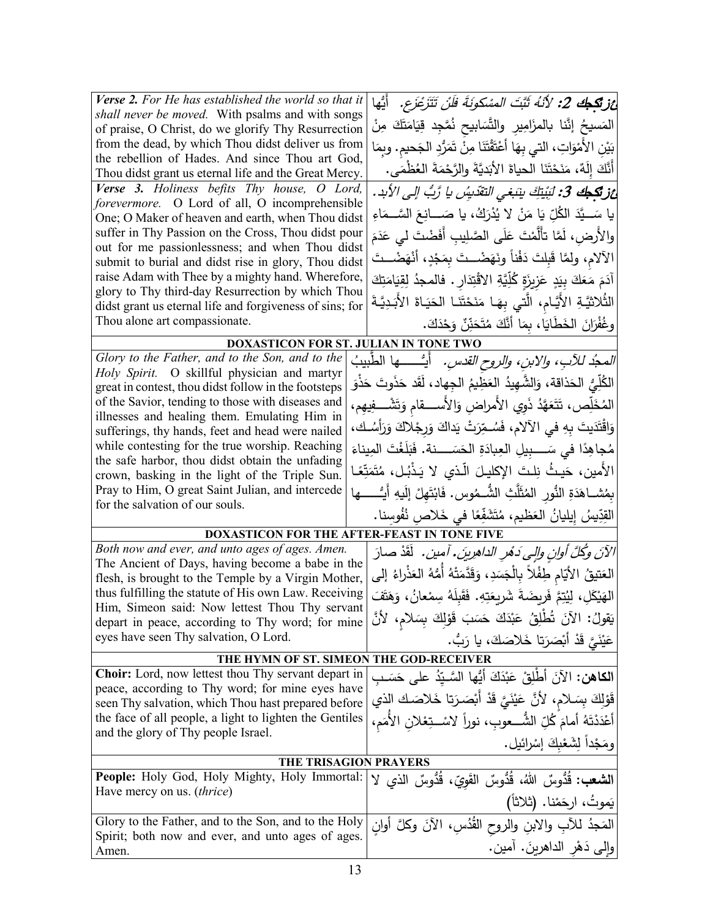| Verse 2. For He has established the world so that it<br>shall never be moved. With psalms and with songs | <i>غز تكجك 2: لأنهُ ثَبَّتَ المسْكونَةَ فلَنْ تَتَزَعْزَع.</i> أَيُّها              |  |
|----------------------------------------------------------------------------------------------------------|-------------------------------------------------------------------------------------|--|
| of praise, O Christ, do we glorify Thy Resurrection                                                      | المَسيحُ إنَّنا بالمزَامِيرِ والتَّسَابيحِ نُمَّجِدٍ قِيَامَتَكَ مِنْ               |  |
| from the dead, by which Thou didst deliver us from                                                       | بَيْنِ الأَمْوَاتِ، التي بِهَا أَعْتَقْتَنَا مِنْ تَمَرُّدِ الْجَحيم. وبِمَا        |  |
| the rebellion of Hades. And since Thou art God,<br>Thou didst grant us eternal life and the Great Mercy. | أَنَّكَ إِلَهٌ، مَنَحْتَنَا الحياةَ الأَبَديَّةَ والرَّحْمَةَ العُظْمَى.            |  |
| Verse 3. Holiness befits Thy house, O Lord,                                                              | غز <b>تَكِطِكَ 3:</b> لَبِنْتِكَ بِنَبَغِي التقَدِيسُ يا رَّبُّ إلى الأبد.          |  |
| forevermore. O Lord of all, O incomprehensible                                                           |                                                                                     |  |
| One; O Maker of heaven and earth, when Thou didst                                                        | يا سَـــيَّدَ الكُلِّ يَا مَنْ لا يُذْرَكُ، يا صَــــانِـعَ السَّـــمَاءِ           |  |
| suffer in Thy Passion on the Cross, Thou didst pour                                                      | والأُرض، لَمَّا تأَلَّمْتَ عَلَى الصَّلِيبِ أَفَضْتَ ل <sub>َى</sub> عَدَمَ         |  |
| out for me passionlessness; and when Thou didst<br>submit to burial and didst rise in glory, Thou didst  | الآلام، ولمَّا قَبِلتَ دَفْناً ونَهَضْــتَ بِمَجْدٍ، أَنْهَضْــتَ                   |  |
| raise Adam with Thee by a mighty hand. Wherefore,                                                        | آدَمَ مَعَكَ بِيَدٍ عَزِيزَةٍ كُلِّيَّةِ الاقْتِدَارِ . فالمجدُ لِقِيَامَتِكَ       |  |
| glory to Thy third-day Resurrection by which Thou                                                        |                                                                                     |  |
| didst grant us eternal life and forgiveness of sins; for                                                 | الثُلاثيَّةِ الأَيَّامِ، الَّتي بِهَـا مَنَحْتَنَـا الحَيَـاةَ الأَبَـدِيَّـةَ      |  |
| Thou alone art compassionate.                                                                            | وغُفْرَانَ الخَطَايَا، بِمَا أَنَّكَ مُتَحَذِّنٌ وَحْدَكَ.                          |  |
| DOXASTICON FOR ST. JULIAN IN TONE TWO                                                                    |                                                                                     |  |
| Glory to the Father, and to the Son, and to the                                                          | <i>المحدُ للآبِ، والابنِ، والروح القدسِ.</i> أيُسْـــــها الطّبيبُ                  |  |
| Holy Spirit. O skillful physician and martyr<br>great in contest, thou didst follow in the footsteps     | الكُلِّيُّ الحَذاقة، وَالشَّهِيدُ العَظِيمُ الجِهاد، لَقَد حَذَوتَ حَذْوَ           |  |
| of the Savior, tending to those with diseases and                                                        |                                                                                     |  |
| illnesses and healing them. Emulating Him in                                                             | المُخَلِّص، تَتَعَهَّدُ ذَوِي الأمراضِ وَالأســـــقام وَتَشْـــفِيهِم،              |  |
| sufferings, thy hands, feet and head were nailed                                                         | وَاقْتَدَيتَ بِهِ في الآلامِ، فَسُـمِّرَتْ يَداكَ وَرِجْلاكَ وَرَأْسُـك،            |  |
| while contesting for the true worship. Reaching                                                          | مُجاهِدًا في سَــــبيلِ العِبادَةِ الحَسَـــــنة. فَبَلَغْتَ المِيناءَ              |  |
| the safe harbor, thou didst obtain the unfading                                                          | الأمين، حَيثُ نِلتَ الإكليلَ الَّذي لا يَذْبُل، مُتَمَتِّعًا                        |  |
| crown, basking in the light of the Triple Sun.                                                           |                                                                                     |  |
| Pray to Him, O great Saint Julian, and intercede<br>for the salvation of our souls.                      | بِمُشــاهَدَةِ النُّورِ المُثَلَّثِ الشُّــمُوسِ. فَابْتَهِلْ إِلَيهِ أَيُـــــــها |  |
|                                                                                                          | القِدِّيسُ إِيليانُ العَظيمِ، مُتَشَفِّعًا في خَلاص نُفُوسنا.                       |  |
|                                                                                                          | DOXASTICON FOR THE AFTER-FEAST IN TONE FIVE                                         |  |
| Both now and ever, and unto ages of ages. Amen.<br>The Ancient of Days, having become a babe in the      | الآنَ وكُلَّ أُوانِ وإلى دَهْرِ الداهرِينَ. آمين.  لَقَدْ صارَ                      |  |
| flesh, is brought to the Temple by a Virgin Mother,                                                      | العَتيقُ الأيّامِ طِفْلاً بالْجَسَدِ، وَقَدَّمَتْهُ أَمُّهُ العَذْراءُ إلى          |  |
| thus fulfilling the statute of His own Law. Receiving                                                    | الهَيْكَلِ، لِيُتِمَّ فَرِيضَةً شَرِيعَتِهِ. فَقَبِلَهُ سِمْعانُ، وَهَتَفَ          |  |
| Him, Simeon said: Now lettest Thou Thy servant                                                           | يَقولُ: الآنَ تُطْلِقُ عَبْدَكَ حَسَبَ قَوْلِكَ بِسَلامٍ، لأنَّ                     |  |
| depart in peace, according to Thy word; for mine                                                         |                                                                                     |  |
| eyes have seen Thy salvation, O Lord.                                                                    | عَيْنَيَّ قَدْ أَبْصَرَتا خَلاصَكَ، يا رَبُّ.                                       |  |
| THE HYMN OF ST. SIMEON THE GOD-RECEIVER                                                                  |                                                                                     |  |
| Choir: Lord, now lettest thou Thy servant depart in<br>peace, according to Thy word; for mine eyes have  | ا <b>لكاهن:</b> الآنَ أطْلِقْ عَبْدَكَ أَيُّها السَّـيّدُ على حَسَـب                |  |
| seen Thy salvation, which Thou hast prepared before                                                      | قَوْلِكَ بِسَلامٍ، لأَنَّ عَيْنَيَّ قَدْ أَبْصَرَتا خَلاصَك الذي                    |  |
| the face of all people, a light to lighten the Gentiles                                                  | أَعْدَدْتَهُ أَمامَ كُلِّ الشُّـــعوبِ، نوراً لاسْــتِعْلان الأَمَم،                |  |
| and the glory of Thy people Israel.                                                                      | ومَجْداً لِشَعْبِكَ إِسْرائيل.                                                      |  |
| THE TRISAGION PRAYERS                                                                                    |                                                                                     |  |
| People: Holy God, Holy Mighty, Holy Immortal:                                                            | <b>الشعب:</b> قُدُوسٌ اللهُ، قُدُوسٌ القَويِّ، قُدُوسٌ الذي لا                      |  |
| Have mercy on us. <i>(thrice)</i>                                                                        |                                                                                     |  |
|                                                                                                          | يَموتُ، ارحَمْنا. (ثلاثاً)                                                          |  |
| Glory to the Father, and to the Son, and to the Holy                                                     | المَجدُ للأبِ والابنِ والروح القُدُسِ، الآنَ وكلَّ أوانِ                            |  |
| Spirit; both now and ever, and unto ages of ages.                                                        | والى دَهْرِ الداهرينَ. آمين.                                                        |  |
| Amen.                                                                                                    |                                                                                     |  |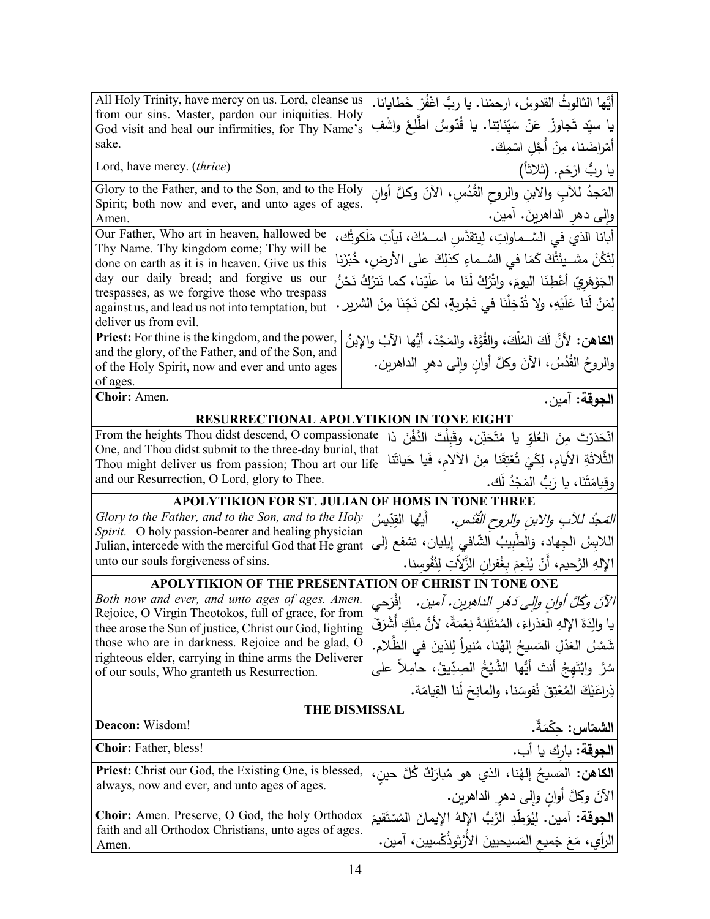| All Holy Trinity, have mercy on us. Lord, cleanse us                                                              | أيُّها الثالوثُ القدوسُ، ارحمْنا. يا ربُّ اغْفُرْ خَطايانا.                      |  |
|-------------------------------------------------------------------------------------------------------------------|----------------------------------------------------------------------------------|--|
| from our sins. Master, pardon our iniquities. Holy<br>God visit and heal our infirmities, for Thy Name's          | يا سيّد تَجاوزْ عَنْ سَيّئاتِنا. يا قُدّوسُ اطّلِعْ واشْفِ                       |  |
| sake.                                                                                                             | أمْراضَنا، مِنْ أَجْلِ اسْمِكَ.                                                  |  |
| Lord, have mercy. (thrice)                                                                                        | يا ربُ ارْحَم. (ثلاثاً)                                                          |  |
| Glory to the Father, and to the Son, and to the Holy                                                              | المَجدُ للآبِ والابنِ والروح القُدُسِ، الآنَ وكلَّ أَوان                         |  |
| Spirit; both now and ever, and unto ages of ages.<br>Amen.                                                        | وإلى دهر الداهرينَ. آمين.                                                        |  |
| Our Father, Who art in heaven, hallowed be                                                                        |                                                                                  |  |
| Thy Name. Thy kingdom come; Thy will be                                                                           | أبانا الذي في السَّــماواتِ، لِيتقدَّس اســمُكَ، ليأتِ مَلَكوتُك،                |  |
| done on earth as it is in heaven. Give us this                                                                    | لِتَكُنْ مشــيئَتُكَ كَمَا في السَّــماءِ كذلِكَ على الأرض، خُبْزَنا             |  |
| day our daily bread; and forgive us our                                                                           | الجَوْهَرِيّ أَعْطِنَا اليومَ، واتْرُكْ لَنَا ما علَيْنا، كما نَترُكُ نَحْنُ     |  |
| trespasses, as we forgive those who trespass<br>against us, and lead us not into temptation, but                  | لِمَنْ لَنا عَلَيْهِ، ولا تُذْخِلْنَا في تَجْرِبِةٍ، لكن نَجِّنَا مِنَ الشريرِ . |  |
| deliver us from evil.                                                                                             |                                                                                  |  |
| Priest: For thine is the kingdom, and the power,                                                                  | الكاهن: لأنَّ لَكَ المُلْكَ، والقُوَّةَ، والمَجْدَ، أيُّها الآبُ والإبنُ         |  |
| and the glory, of the Father, and of the Son, and                                                                 |                                                                                  |  |
| of the Holy Spirit, now and ever and unto ages                                                                    | والروحُ القُدُسُ، الأَنَ وكلَّ أُوانِ وإِلَى دهرِ الداهرينِ.                     |  |
| of ages.                                                                                                          |                                                                                  |  |
| Choir: Amen.                                                                                                      | ا <b>لجوقة:</b> آمين.                                                            |  |
|                                                                                                                   | <b>RESURRECTIONAL APOLYTIKION IN TONE EIGHT</b>                                  |  |
| From the heights Thou didst descend, O compassionate                                                              | انْحَدَرْتَ مِنَ العُلوِّ يا مُتَحَنِّن، وقَبِلْتَ الدَّفْنَ ذا                  |  |
| One, and Thou didst submit to the three-day burial, that<br>Thou might deliver us from passion; Thou art our life | الثُّلاثَةِ الأيام، لِكَيْ تُعْتِقَنا مِنَ الآلام، فَيا حَياتَنا                 |  |
| and our Resurrection, O Lord, glory to Thee.                                                                      | وقيامَتَنَا، يا رَبُّ المَجْدُ لَك.                                              |  |
|                                                                                                                   |                                                                                  |  |
| Glory to the Father, and to the Son, and to the Holy                                                              | APOLYTIKION FOR ST. JULIAN OF HOMS IN TONE THREE                                 |  |
| Spirit. O holy passion-bearer and healing physician                                                               | <i>التَعجُّد للآبِ والابنِ والروحِ القُدُسِ.</i> أيُّها القِدِّيسُ               |  |
| Julian, intercede with the merciful God that He grant                                                             | اللابِسُ الجِهاد، وَالطَّبِيبُ الشَّافي إِيليان، تشفع إلى                        |  |
| unto our souls forgiveness of sins.                                                                               | الإِلهِ الرَّحيمِ، أَنْ يُنْعِمَ بِغُفرانِ الزَّلِأَتِ لِنُفُوسِنا.              |  |
|                                                                                                                   | APOLYTIKION OF THE PRESENTATION OF CHRIST IN TONE ONE                            |  |
| Both now and ever, and unto ages of ages. Amen.                                                                   | الآنَ وكُلَّ أُولِن والى دَهْرِ الداهرِينِ . آمين .    إفْرَحى                   |  |
| Rejoice, O Virgin Theotokos, full of grace, for from                                                              | يا والدَةَ الإلهِ العَذراءَ ، المُمْتَلِئةَ نِعْمَةً، لأَنَّ مِنْكِ أَشْرَقَ     |  |
| thee arose the Sun of justice, Christ our God, lighting<br>those who are in darkness. Rejoice and be glad, O      |                                                                                  |  |
| righteous elder, carrying in thine arms the Deliverer                                                             | شَمْسُ العَدْلِ المَسيحُ إلهُنا، مُنيراً لِلذينَ في الظُّلام.                    |  |
| of our souls, Who granteth us Resurrection.                                                                       | سُرَّ  وابْتَهجْ  أنتَ  أَيُّها  الشَّيْخُ  الصِدِّيقُ،  حامِلاً  على            |  |
|                                                                                                                   | ذِراعَيْكَ الْمُعْتِقَ نُفُوسَنا، والمانِحَ لَنا القِيامَة.                      |  |
| <b>THE DISMISSAL</b>                                                                                              |                                                                                  |  |
| Deacon: Wisdom!                                                                                                   | ا <b>لشماس:</b> حِكْمَةٌ.                                                        |  |
| <b>Choir:</b> Father, bless!                                                                                      | ا <b>لجوقة:</b> بارك يا أب.                                                      |  |
| <b>Priest:</b> Christ our God, the Existing One, is blessed,                                                      | ا <b>لكاهن:</b> المَسيحُ إلهُنا، الذي هو مُبارَكٌ كُلَّ حينِ،                    |  |
| always, now and ever, and unto ages of ages.                                                                      | الآنَ وكلَّ أُوانِ وإلى دهرِ الداهرين.                                           |  |
| <b>Choir:</b> Amen. Preserve, O God, the holy Orthodox                                                            | ا <b>لجوقة:</b> آمين. لِيُوَطِّدِ الرَّبُّ الإِلهُ الإِيمانَ المُسْتَقيمَ        |  |
| faith and all Orthodox Christians, unto ages of ages.                                                             |                                                                                  |  |
| Amen.                                                                                                             | الرأي، مَعَ جَميع المَسيحيينَ الأَرْثوذُكُسيين، آمين.                            |  |